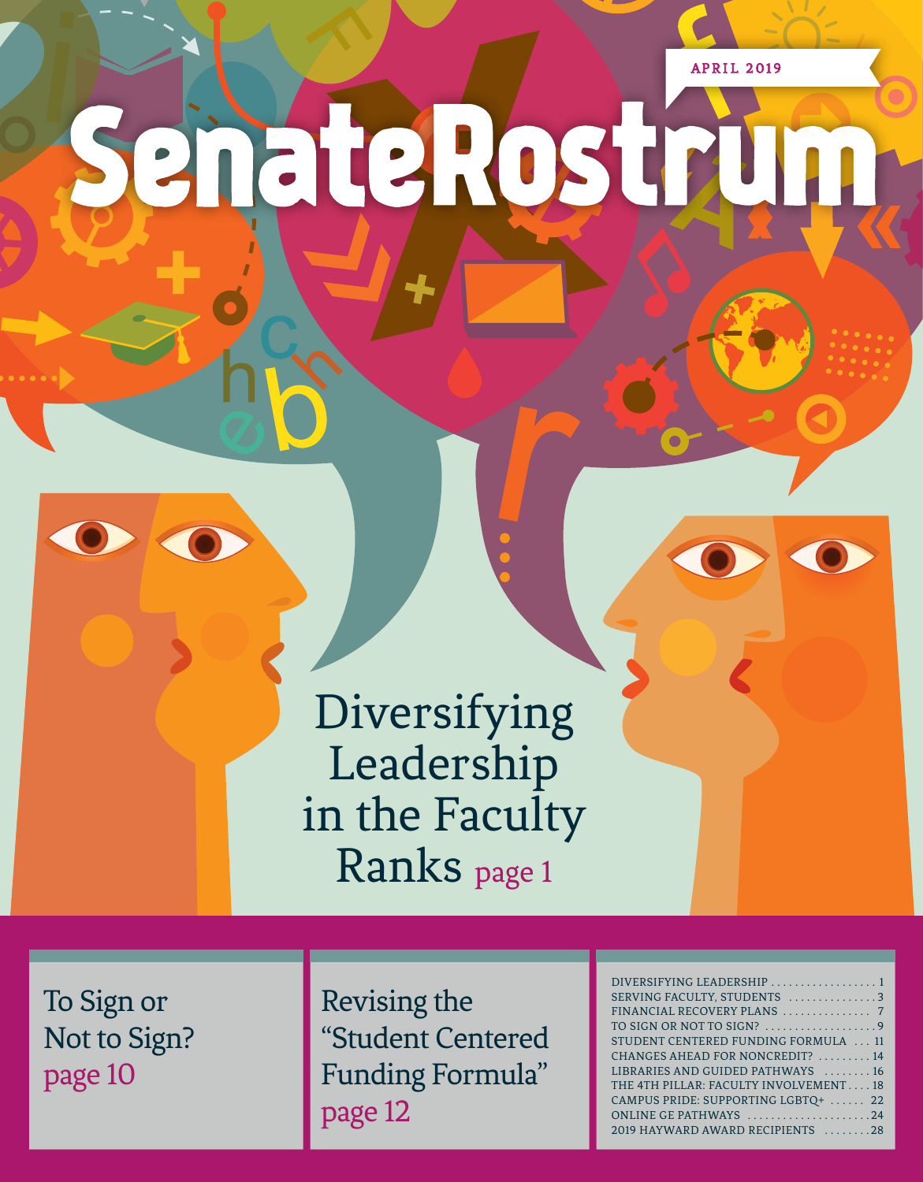**APRIL 2019** 

# SenateRostrun

Diversifying Leadership in the Faculty Ranks page 1

To Sign or Not to Sign? page 10

Revising the "Student Centered Funding Formula" page 12

| DIVERSIFYING LEADERSHIP  1            |
|---------------------------------------|
| SERVING FACULTY, STUDENTS 3           |
| FINANCIAL RECOVERY PLANS  7           |
| TO SIGN OR NOT TO SIGN? 9             |
| STUDENT CENTERED FUNDING FORMULA  11  |
| CHANGES AHEAD FOR NONCREDIT?  14      |
| LIBRARIES AND GUIDED PATHWAYS  16     |
| THE 4TH PILLAR: FACULTY INVOLVEMENT18 |
| CAMPUS PRIDE: SUPPORTING LGBTQ+  22   |
| ONLINE GE PATHWAYS 24                 |
| 2019 HAYWARD AWARD RECIPIENTS 28      |
|                                       |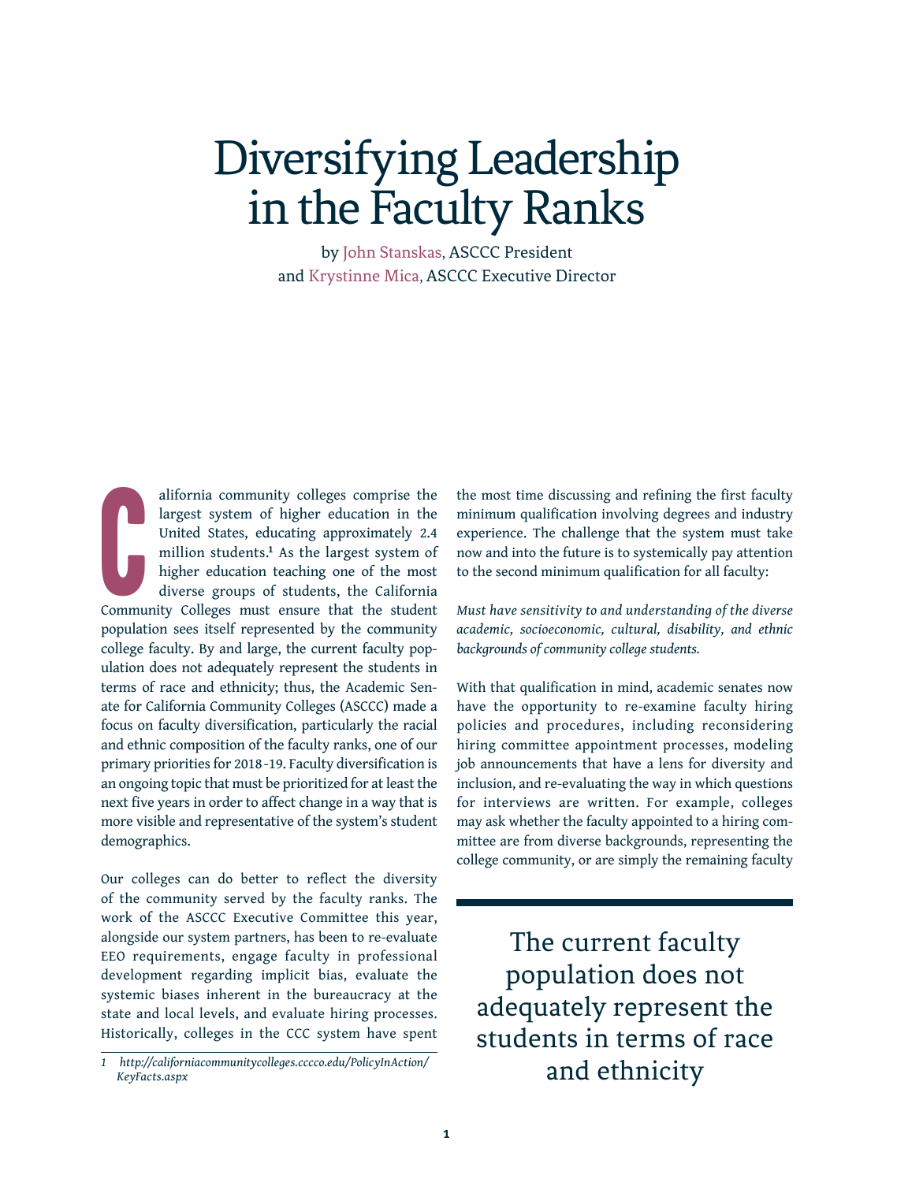# Diversifying Leadership in the Faculty Ranks

by John Stanskas, ASCCC President and Krystinne Mica, ASCCC Executive Director

C alifornia community colleges comprise the largest system of higher education in the United States, educating approximately 2.4 million students.**<sup>1</sup>** As the largest system of higher education teaching one of the most diverse groups of students, the California Community Colleges must ensure that the student population sees itself represented by the community college faculty. By and large, the current faculty population does not adequately represent the students in terms of race and ethnicity; thus, the Academic Senate for California Community Colleges (ASCCC) made a focus on faculty diversification, particularly the racial and ethnic composition of the faculty ranks, one of our primary priorities for 2018 -19. Faculty diversification is an ongoing topic that must be prioritized for at least the next five years in order to affect change in a way that is more visible and representative of the system's student demographics.

Our colleges can do better to reflect the diversity of the community served by the faculty ranks. The work of the ASCCC Executive Committee this year, alongside our system partners, has been to re-evaluate EEO requirements, engage faculty in professional development regarding implicit bias, evaluate the systemic biases inherent in the bureaucracy at the state and local levels, and evaluate hiring processes. Historically, colleges in the CCC system have spent

the most time discussing and refining the first faculty minimum qualification involving degrees and industry experience. The challenge that the system must take now and into the future is to systemically pay attention to the second minimum qualification for all faculty:

*Must have sensitivity to and understanding of the diverse academic, socioeconomic, cultural, disability, and ethnic backgrounds of community college students.*

With that qualification in mind, academic senates now have the opportunity to re-examine faculty hiring policies and procedures, including reconsidering hiring committee appointment processes, modeling job announcements that have a lens for diversity and inclusion, and re-evaluating the way in which questions for interviews are written. For example, colleges may ask whether the faculty appointed to a hiring committee are from diverse backgrounds, representing the college community, or are simply the remaining faculty

The current faculty population does not adequately represent the students in terms of race and ethnicity

*<sup>1</sup> http://californiacommunitycolleges.cccco.edu/PolicyInAction/ KeyFacts.aspx*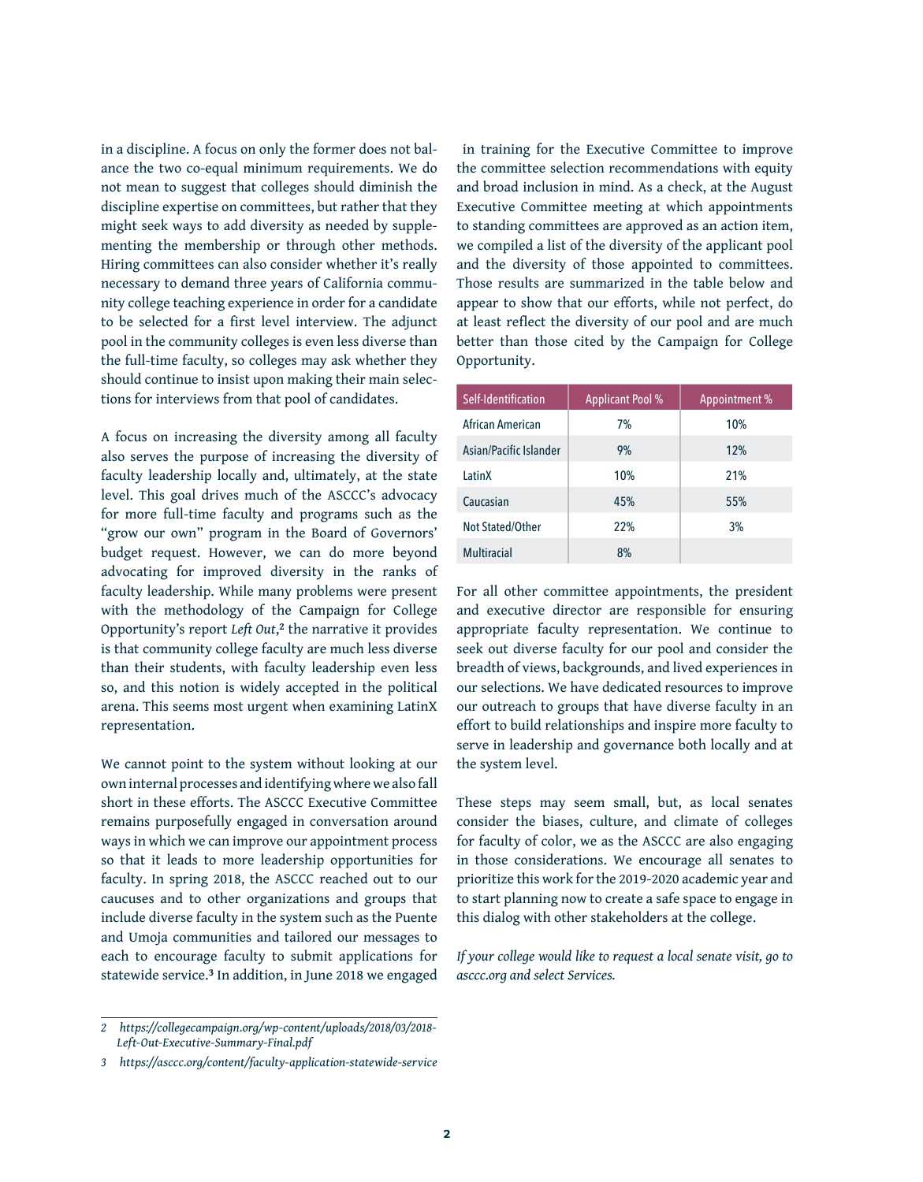in a discipline. A focus on only the former does not balance the two co-equal minimum requirements. We do not mean to suggest that colleges should diminish the discipline expertise on committees, but rather that they might seek ways to add diversity as needed by supplementing the membership or through other methods. Hiring committees can also consider whether it's really necessary to demand three years of California community college teaching experience in order for a candidate to be selected for a first level interview. The adjunct pool in the community colleges is even less diverse than the full-time faculty, so colleges may ask whether they should continue to insist upon making their main selections for interviews from that pool of candidates.

A focus on increasing the diversity among all faculty also serves the purpose of increasing the diversity of faculty leadership locally and, ultimately, at the state level. This goal drives much of the ASCCC's advocacy for more full-time faculty and programs such as the "grow our own" program in the Board of Governors' budget request. However, we can do more beyond advocating for improved diversity in the ranks of faculty leadership. While many problems were present with the methodology of the Campaign for College Opportunity's report *Left Out*, **<sup>2</sup>** the narrative it provides is that community college faculty are much less diverse than their students, with faculty leadership even less so, and this notion is widely accepted in the political arena. This seems most urgent when examining LatinX representation.

We cannot point to the system without looking at our own internal processes and identifying where we also fall short in these efforts. The ASCCC Executive Committee remains purposefully engaged in conversation around ways in which we can improve our appointment process so that it leads to more leadership opportunities for faculty. In spring 2018, the ASCCC reached out to our caucuses and to other organizations and groups that include diverse faculty in the system such as the Puente and Umoja communities and tailored our messages to each to encourage faculty to submit applications for statewide service.**3** In addition, in June 2018 we engaged

 in training for the Executive Committee to improve the committee selection recommendations with equity and broad inclusion in mind. As a check, at the August Executive Committee meeting at which appointments to standing committees are approved as an action item, we compiled a list of the diversity of the applicant pool and the diversity of those appointed to committees. Those results are summarized in the table below and appear to show that our efforts, while not perfect, do at least reflect the diversity of our pool and are much better than those cited by the Campaign for College Opportunity.

| Self-Identification    | <b>Applicant Pool %</b> | Appointment % |
|------------------------|-------------------------|---------------|
| African American       | 7%                      | 10%           |
| Asian/Pacific Islander | 9%                      | 12%           |
| LatinX                 | 10%                     | 21%           |
| Caucasian              | 45%                     | 55%           |
| Not Stated/Other       | 22%                     | 3%            |
| <b>Multiracial</b>     | 8%                      |               |

For all other committee appointments, the president and executive director are responsible for ensuring appropriate faculty representation. We continue to seek out diverse faculty for our pool and consider the breadth of views, backgrounds, and lived experiences in our selections. We have dedicated resources to improve our outreach to groups that have diverse faculty in an effort to build relationships and inspire more faculty to serve in leadership and governance both locally and at the system level.

These steps may seem small, but, as local senates consider the biases, culture, and climate of colleges for faculty of color, we as the ASCCC are also engaging in those considerations. We encourage all senates to prioritize this work for the 2019-2020 academic year and to start planning now to create a safe space to engage in this dialog with other stakeholders at the college.

*If your college would like to request a local senate visit, go to asccc.org and select Services.* 

*<sup>2</sup> [https://collegecampaign.org/wp-content/uploads/2018/03/2018-](https://collegecampaign.org/wp-content/uploads/2018/03/2018-Left-Out-Executive-Summary-Final.pdf) [Left-Out-Executive-Summary-Final.pdf](https://collegecampaign.org/wp-content/uploads/2018/03/2018-Left-Out-Executive-Summary-Final.pdf)*

*<sup>3</sup> <https://asccc.org/content/faculty-application-statewide-service>*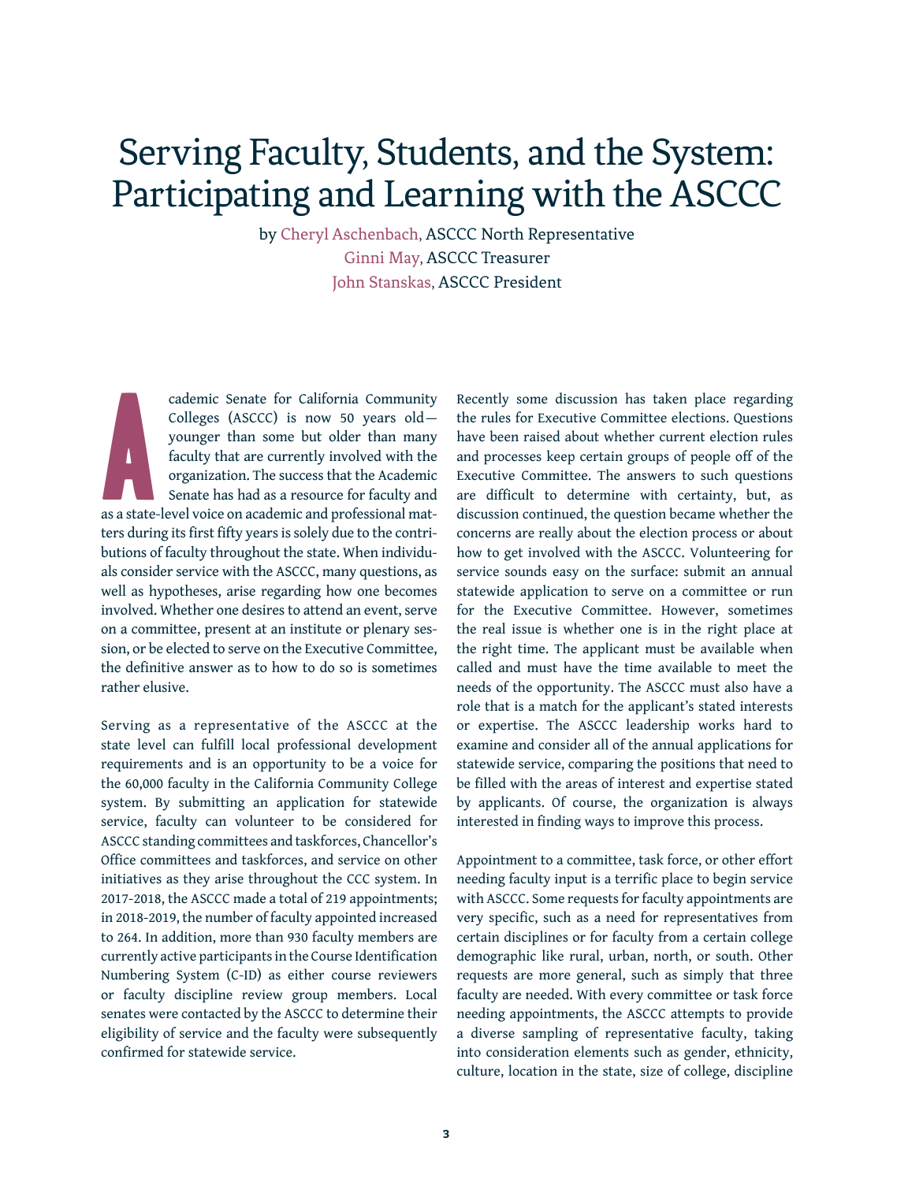### Serving Faculty, Students, and the System: Participating and Learning with the ASCCC

by Cheryl Aschenbach, ASCCC North Representative Ginni May, ASCCC Treasurer John Stanskas, ASCCC President

A cademic Senate for California Community Colleges (ASCCC) is now 50 years old younger than some but older than many faculty that are currently involved with the organization. The success that the Academic Senate has had as a resource for faculty and as a state-level voice on academic and professional matters during its first fifty years is solely due to the contributions of faculty throughout the state. When individuals consider service with the ASCCC, many questions, as well as hypotheses, arise regarding how one becomes involved. Whether one desires to attend an event, serve on a committee, present at an institute or plenary session, or be elected to serve on the Executive Committee, the definitive answer as to how to do so is sometimes rather elusive.

Serving as a representative of the ASCCC at the state level can fulfill local professional development requirements and is an opportunity to be a voice for the 60,000 faculty in the California Community College system. By submitting an application for statewide service, faculty can volunteer to be considered for ASCCC standing committees and taskforces, Chancellor's Office committees and taskforces, and service on other initiatives as they arise throughout the CCC system. In 2017-2018, the ASCCC made a total of 219 appointments; in 2018-2019, the number of faculty appointed increased to 264. In addition, more than 930 faculty members are currently active participants in the Course Identification Numbering System (C-ID) as either course reviewers or faculty discipline review group members. Local senates were contacted by the ASCCC to determine their eligibility of service and the faculty were subsequently confirmed for statewide service.

Recently some discussion has taken place regarding the rules for Executive Committee elections. Questions have been raised about whether current election rules and processes keep certain groups of people off of the Executive Committee. The answers to such questions are difficult to determine with certainty, but, as discussion continued, the question became whether the concerns are really about the election process or about how to get involved with the ASCCC. Volunteering for service sounds easy on the surface: submit an annual statewide application to serve on a committee or run for the Executive Committee. However, sometimes the real issue is whether one is in the right place at the right time. The applicant must be available when called and must have the time available to meet the needs of the opportunity. The ASCCC must also have a role that is a match for the applicant's stated interests or expertise. The ASCCC leadership works hard to examine and consider all of the annual applications for statewide service, comparing the positions that need to be filled with the areas of interest and expertise stated by applicants. Of course, the organization is always interested in finding ways to improve this process.

Appointment to a committee, task force, or other effort needing faculty input is a terrific place to begin service with ASCCC. Some requests for faculty appointments are very specific, such as a need for representatives from certain disciplines or for faculty from a certain college demographic like rural, urban, north, or south. Other requests are more general, such as simply that three faculty are needed. With every committee or task force needing appointments, the ASCCC attempts to provide a diverse sampling of representative faculty, taking into consideration elements such as gender, ethnicity, culture, location in the state, size of college, discipline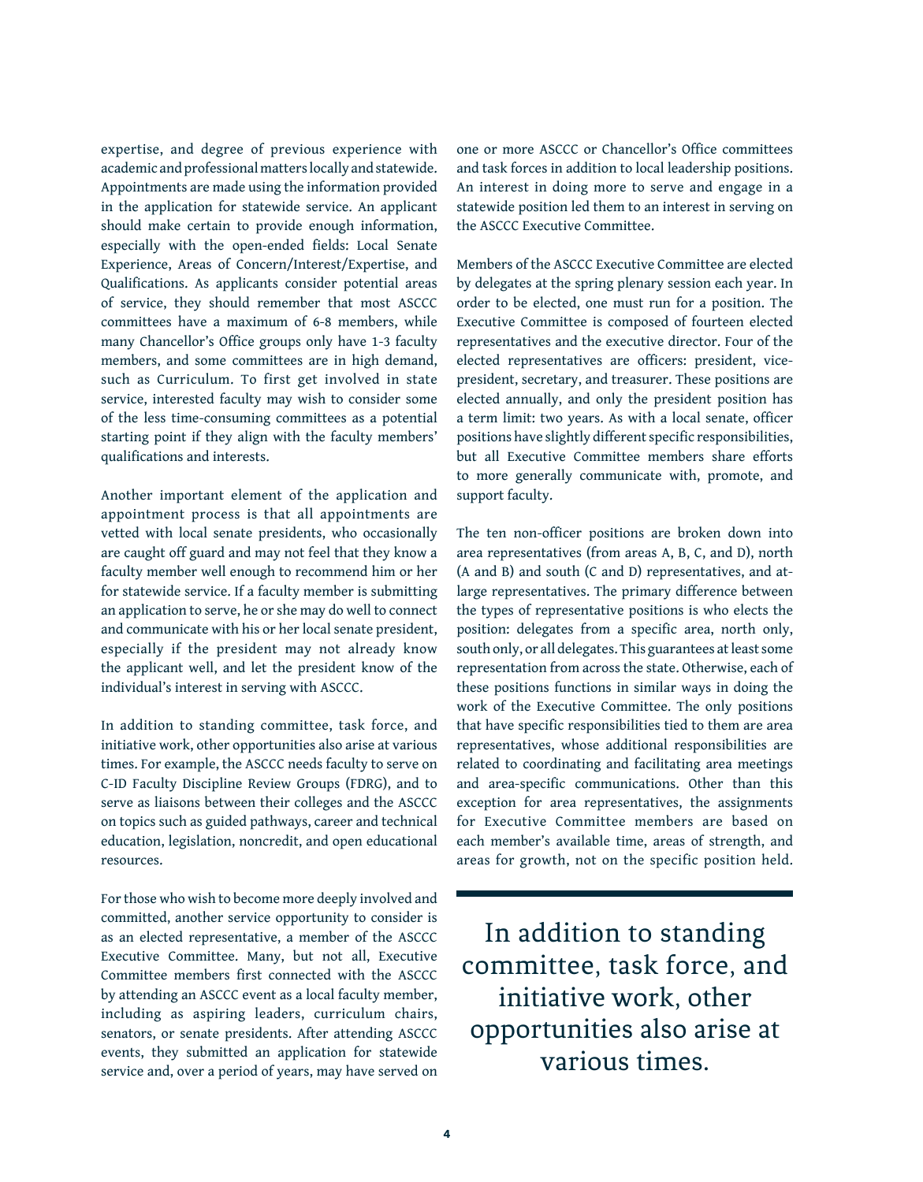expertise, and degree of previous experience with academic and professional matters locally and statewide. Appointments are made using the information provided in the application for statewide service. An applicant should make certain to provide enough information, especially with the open-ended fields: Local Senate Experience, Areas of Concern/Interest/Expertise, and Qualifications. As applicants consider potential areas of service, they should remember that most ASCCC committees have a maximum of 6-8 members, while many Chancellor's Office groups only have 1-3 faculty members, and some committees are in high demand, such as Curriculum. To first get involved in state service, interested faculty may wish to consider some of the less time-consuming committees as a potential starting point if they align with the faculty members' qualifications and interests.

Another important element of the application and appointment process is that all appointments are vetted with local senate presidents, who occasionally are caught off guard and may not feel that they know a faculty member well enough to recommend him or her for statewide service. If a faculty member is submitting an application to serve, he or she may do well to connect and communicate with his or her local senate president, especially if the president may not already know the applicant well, and let the president know of the individual's interest in serving with ASCCC.

In addition to standing committee, task force, and initiative work, other opportunities also arise at various times. For example, the ASCCC needs faculty to serve on C-ID Faculty Discipline Review Groups (FDRG), and to serve as liaisons between their colleges and the ASCCC on topics such as guided pathways, career and technical education, legislation, noncredit, and open educational resources.

For those who wish to become more deeply involved and committed, another service opportunity to consider is as an elected representative, a member of the ASCCC Executive Committee. Many, but not all, Executive Committee members first connected with the ASCCC by attending an ASCCC event as a local faculty member, including as aspiring leaders, curriculum chairs, senators, or senate presidents. After attending ASCCC events, they submitted an application for statewide service and, over a period of years, may have served on

one or more ASCCC or Chancellor's Office committees and task forces in addition to local leadership positions. An interest in doing more to serve and engage in a statewide position led them to an interest in serving on the ASCCC Executive Committee.

Members of the ASCCC Executive Committee are elected by delegates at the spring plenary session each year. In order to be elected, one must run for a position. The Executive Committee is composed of fourteen elected representatives and the executive director. Four of the elected representatives are officers: president, vicepresident, secretary, and treasurer. These positions are elected annually, and only the president position has a term limit: two years. As with a local senate, officer positions have slightly different specific responsibilities, but all Executive Committee members share efforts to more generally communicate with, promote, and support faculty.

The ten non-officer positions are broken down into area representatives (from areas A, B, C, and D), north (A and B) and south (C and D) representatives, and atlarge representatives. The primary difference between the types of representative positions is who elects the position: delegates from a specific area, north only, south only, or all delegates. This guarantees at least some representation from across the state. Otherwise, each of these positions functions in similar ways in doing the work of the Executive Committee. The only positions that have specific responsibilities tied to them are area representatives, whose additional responsibilities are related to coordinating and facilitating area meetings and area-specific communications. Other than this exception for area representatives, the assignments for Executive Committee members are based on each member's available time, areas of strength, and areas for growth, not on the specific position held.

In addition to standing committee, task force, and initiative work, other opportunities also arise at various times.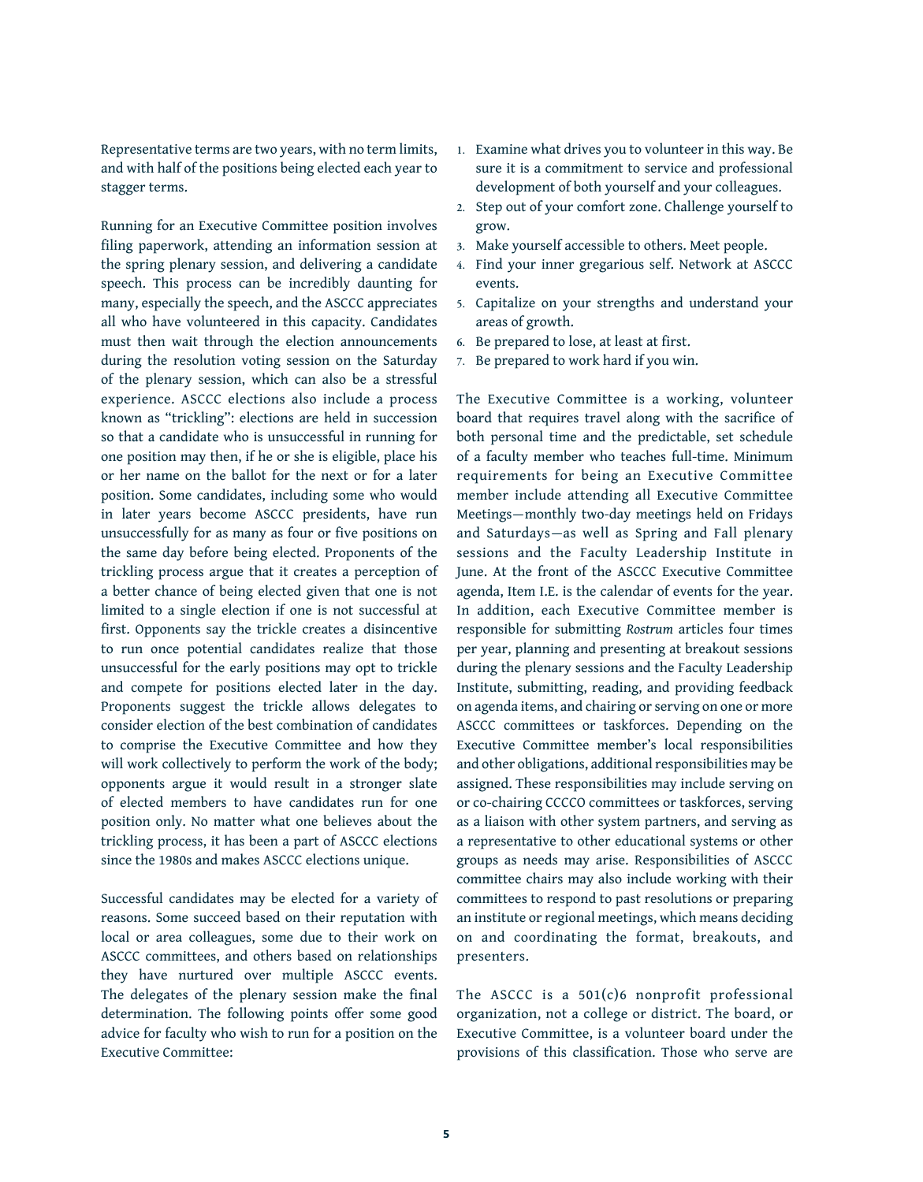Representative terms are two years, with no term limits, and with half of the positions being elected each year to stagger terms.

Running for an Executive Committee position involves filing paperwork, attending an information session at the spring plenary session, and delivering a candidate speech. This process can be incredibly daunting for many, especially the speech, and the ASCCC appreciates all who have volunteered in this capacity. Candidates must then wait through the election announcements during the resolution voting session on the Saturday of the plenary session, which can also be a stressful experience. ASCCC elections also include a process known as "trickling": elections are held in succession so that a candidate who is unsuccessful in running for one position may then, if he or she is eligible, place his or her name on the ballot for the next or for a later position. Some candidates, including some who would in later years become ASCCC presidents, have run unsuccessfully for as many as four or five positions on the same day before being elected. Proponents of the trickling process argue that it creates a perception of a better chance of being elected given that one is not limited to a single election if one is not successful at first. Opponents say the trickle creates a disincentive to run once potential candidates realize that those unsuccessful for the early positions may opt to trickle and compete for positions elected later in the day. Proponents suggest the trickle allows delegates to consider election of the best combination of candidates to comprise the Executive Committee and how they will work collectively to perform the work of the body; opponents argue it would result in a stronger slate of elected members to have candidates run for one position only. No matter what one believes about the trickling process, it has been a part of ASCCC elections since the 1980s and makes ASCCC elections unique.

Successful candidates may be elected for a variety of reasons. Some succeed based on their reputation with local or area colleagues, some due to their work on ASCCC committees, and others based on relationships they have nurtured over multiple ASCCC events. The delegates of the plenary session make the final determination. The following points offer some good advice for faculty who wish to run for a position on the Executive Committee:

- **1.** Examine what drives you to volunteer in this way. Be sure it is a commitment to service and professional development of both yourself and your colleagues.
- **2.** Step out of your comfort zone. Challenge yourself to grow.
- **3.** Make yourself accessible to others. Meet people.
- **4.** Find your inner gregarious self. Network at ASCCC events.
- **5.** Capitalize on your strengths and understand your areas of growth.
- **6.** Be prepared to lose, at least at first.
- **7.** Be prepared to work hard if you win.

The Executive Committee is a working, volunteer board that requires travel along with the sacrifice of both personal time and the predictable, set schedule of a faculty member who teaches full-time. Minimum requirements for being an Executive Committee member include attending all Executive Committee Meetings—monthly two-day meetings held on Fridays and Saturdays—as well as Spring and Fall plenary sessions and the Faculty Leadership Institute in June. At the front of the ASCCC Executive Committee agenda, Item I.E. is the calendar of events for the year. In addition, each Executive Committee member is responsible for submitting *Rostrum* articles four times per year, planning and presenting at breakout sessions during the plenary sessions and the Faculty Leadership Institute, submitting, reading, and providing feedback on agenda items, and chairing or serving on one or more ASCCC committees or taskforces. Depending on the Executive Committee member's local responsibilities and other obligations, additional responsibilities may be assigned. These responsibilities may include serving on or co-chairing CCCCO committees or taskforces, serving as a liaison with other system partners, and serving as a representative to other educational systems or other groups as needs may arise. Responsibilities of ASCCC committee chairs may also include working with their committees to respond to past resolutions or preparing an institute or regional meetings, which means deciding on and coordinating the format, breakouts, and presenters.

The ASCCC is a 501(c)6 nonprofit professional organization, not a college or district. The board, or Executive Committee, is a volunteer board under the provisions of this classification. Those who serve are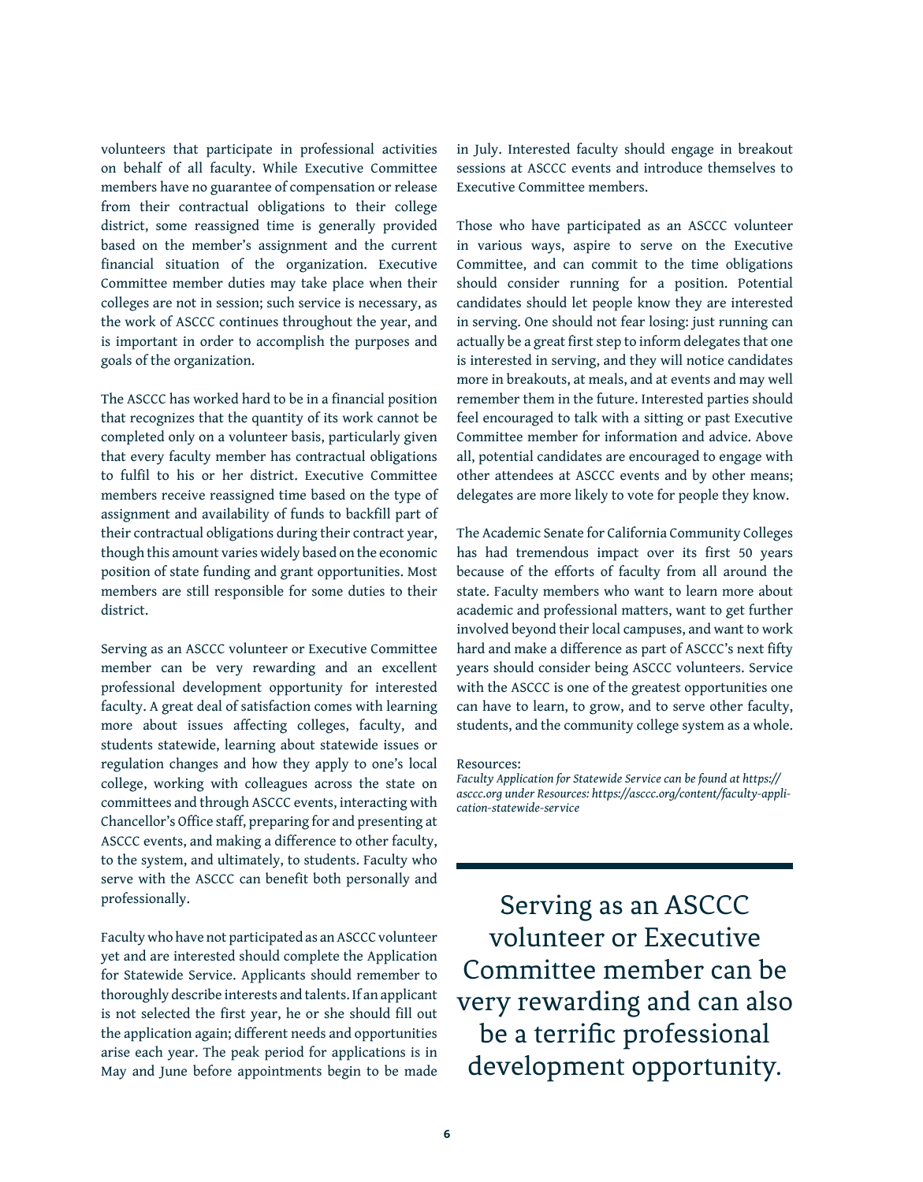volunteers that participate in professional activities on behalf of all faculty. While Executive Committee members have no guarantee of compensation or release from their contractual obligations to their college district, some reassigned time is generally provided based on the member's assignment and the current financial situation of the organization. Executive Committee member duties may take place when their colleges are not in session; such service is necessary, as the work of ASCCC continues throughout the year, and is important in order to accomplish the purposes and goals of the organization.

The ASCCC has worked hard to be in a financial position that recognizes that the quantity of its work cannot be completed only on a volunteer basis, particularly given that every faculty member has contractual obligations to fulfil to his or her district. Executive Committee members receive reassigned time based on the type of assignment and availability of funds to backfill part of their contractual obligations during their contract year, though this amount varies widely based on the economic position of state funding and grant opportunities. Most members are still responsible for some duties to their district.

Serving as an ASCCC volunteer or Executive Committee member can be very rewarding and an excellent professional development opportunity for interested faculty. A great deal of satisfaction comes with learning more about issues affecting colleges, faculty, and students statewide, learning about statewide issues or regulation changes and how they apply to one's local college, working with colleagues across the state on committees and through ASCCC events, interacting with Chancellor's Office staff, preparing for and presenting at ASCCC events, and making a difference to other faculty, to the system, and ultimately, to students. Faculty who serve with the ASCCC can benefit both personally and professionally.

Faculty who have not participated as an ASCCC volunteer yet and are interested should complete the Application for Statewide Service. Applicants should remember to thoroughly describe interests and talents. If an applicant is not selected the first year, he or she should fill out the application again; different needs and opportunities arise each year. The peak period for applications is in May and June before appointments begin to be made in July. Interested faculty should engage in breakout sessions at ASCCC events and introduce themselves to Executive Committee members.

Those who have participated as an ASCCC volunteer in various ways, aspire to serve on the Executive Committee, and can commit to the time obligations should consider running for a position. Potential candidates should let people know they are interested in serving. One should not fear losing: just running can actually be a great first step to inform delegates that one is interested in serving, and they will notice candidates more in breakouts, at meals, and at events and may well remember them in the future. Interested parties should feel encouraged to talk with a sitting or past Executive Committee member for information and advice. Above all, potential candidates are encouraged to engage with other attendees at ASCCC events and by other means; delegates are more likely to vote for people they know.

The Academic Senate for California Community Colleges has had tremendous impact over its first 50 years because of the efforts of faculty from all around the state. Faculty members who want to learn more about academic and professional matters, want to get further involved beyond their local campuses, and want to work hard and make a difference as part of ASCCC's next fifty years should consider being ASCCC volunteers. Service with the ASCCC is one of the greatest opportunities one can have to learn, to grow, and to serve other faculty, students, and the community college system as a whole.

#### Resources:

*Faculty Application for Statewide Service can be found at [https://](https://asccc.org) [asccc.org](https://asccc.org) under Resources: [https://asccc.org/content/faculty-appli](https://asccc.org/content/faculty-application-statewide-service)[cation-statewide-service](https://asccc.org/content/faculty-application-statewide-service)* 

Serving as an ASCCC volunteer or Executive Committee member can be very rewarding and can also be a terrific professional development opportunity.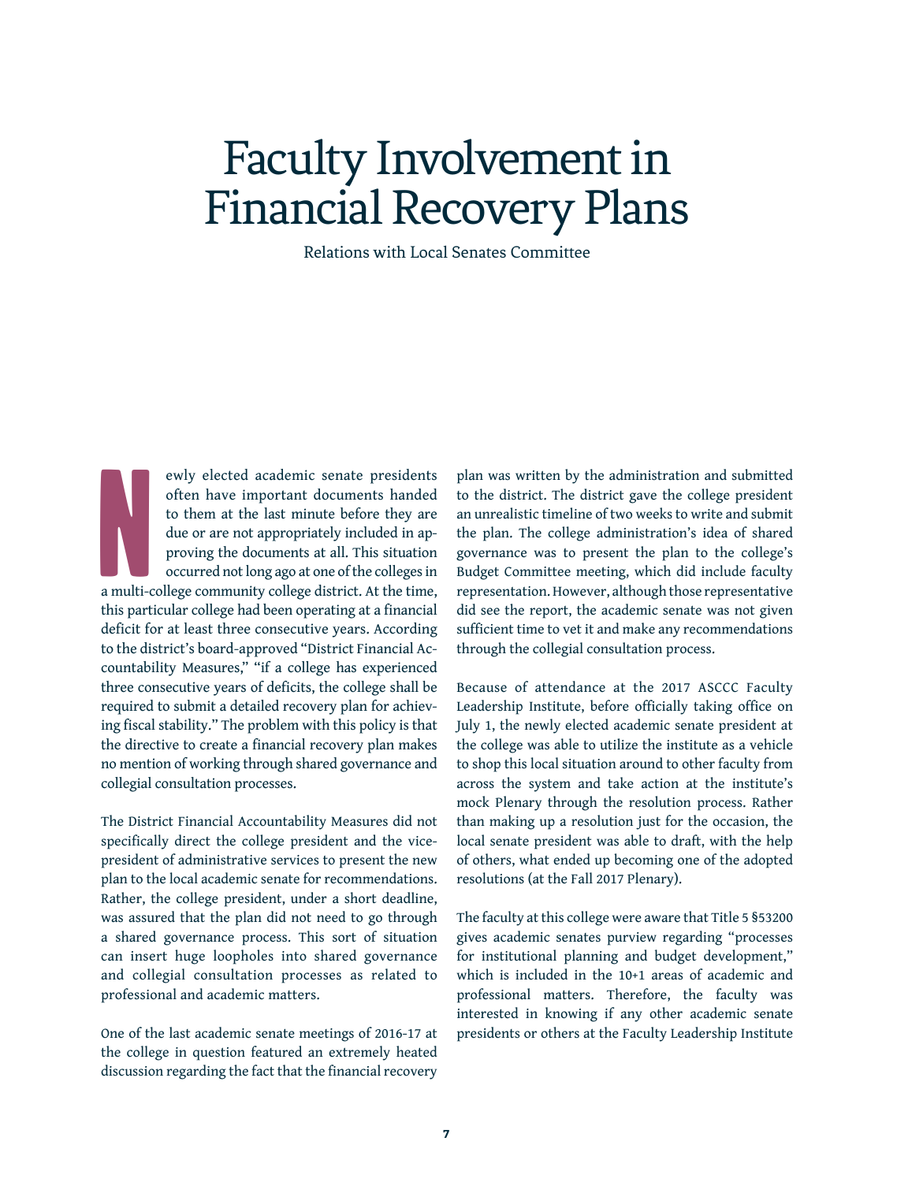# Faculty Involvement in Financial Recovery Plans

Relations with Local Senates Committee

No. 1994 ewly elected academic senate presidents often have important documents handed to them at the last minute before they are due or are not appropriately included in approving the documents at all. This situation occurred not long ago at one of the colleges in a multi-college community college district. At the time, this particular college had been operating at a financial deficit for at least three consecutive years. According to the district's board-approved "District Financial Accountability Measures," "if a college has experienced three consecutive years of deficits, the college shall be required to submit a detailed recovery plan for achieving fiscal stability." The problem with this policy is that the directive to create a financial recovery plan makes no mention of working through shared governance and collegial consultation processes.

The District Financial Accountability Measures did not specifically direct the college president and the vicepresident of administrative services to present the new plan to the local academic senate for recommendations. Rather, the college president, under a short deadline, was assured that the plan did not need to go through a shared governance process. This sort of situation can insert huge loopholes into shared governance and collegial consultation processes as related to professional and academic matters.

One of the last academic senate meetings of 2016-17 at the college in question featured an extremely heated discussion regarding the fact that the financial recovery

plan was written by the administration and submitted to the district. The district gave the college president an unrealistic timeline of two weeks to write and submit the plan. The college administration's idea of shared governance was to present the plan to the college's Budget Committee meeting, which did include faculty representation. However, although those representative did see the report, the academic senate was not given sufficient time to vet it and make any recommendations through the collegial consultation process.

Because of attendance at the 2017 ASCCC Faculty Leadership Institute, before officially taking office on July 1, the newly elected academic senate president at the college was able to utilize the institute as a vehicle to shop this local situation around to other faculty from across the system and take action at the institute's mock Plenary through the resolution process. Rather than making up a resolution just for the occasion, the local senate president was able to draft, with the help of others, what ended up becoming one of the adopted resolutions (at the Fall 2017 Plenary).

The faculty at this college were aware that Title 5 §53200 gives academic senates purview regarding "processes for institutional planning and budget development," which is included in the 10+1 areas of academic and professional matters. Therefore, the faculty was interested in knowing if any other academic senate presidents or others at the Faculty Leadership Institute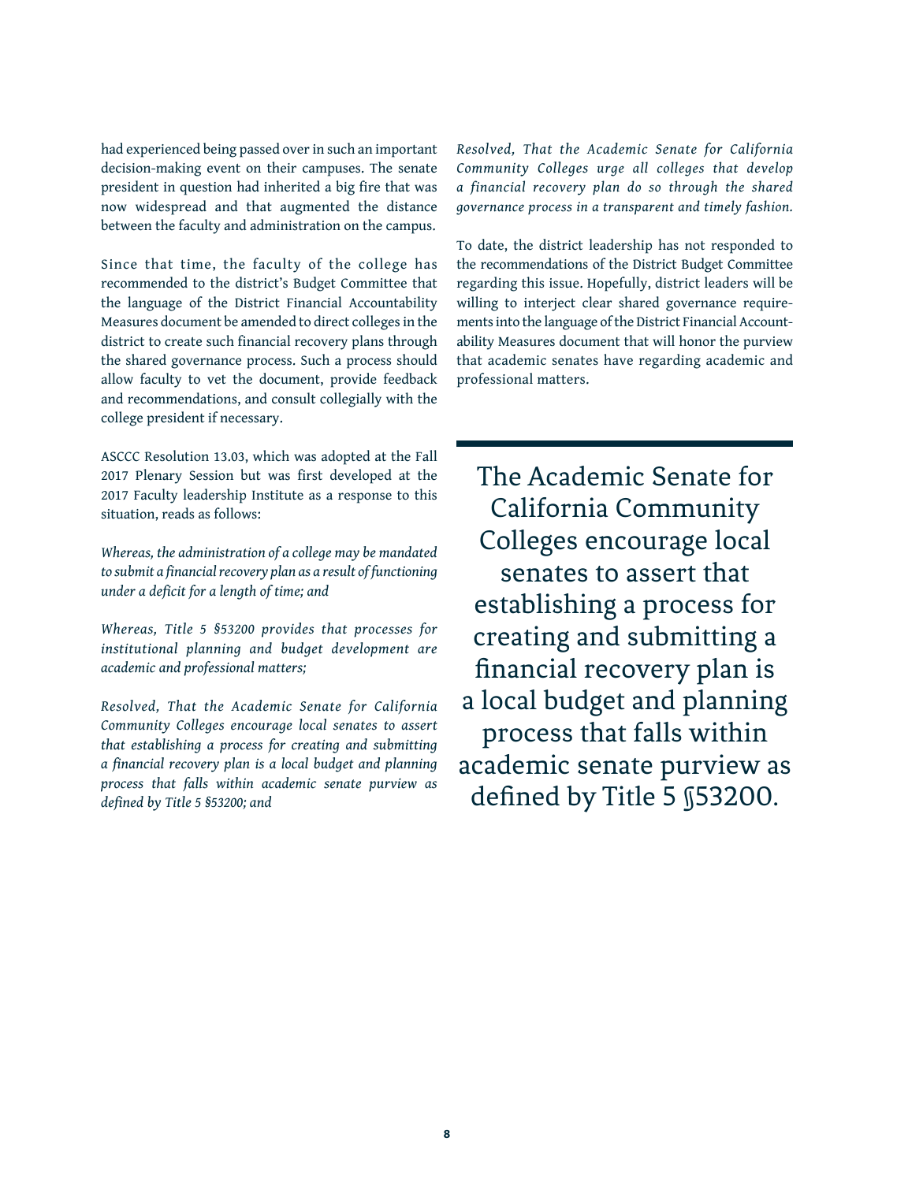had experienced being passed over in such an important decision-making event on their campuses. The senate president in question had inherited a big fire that was now widespread and that augmented the distance between the faculty and administration on the campus.

Since that time, the faculty of the college has recommended to the district's Budget Committee that the language of the District Financial Accountability Measures document be amended to direct colleges in the district to create such financial recovery plans through the shared governance process. Such a process should allow faculty to vet the document, provide feedback and recommendations, and consult collegially with the college president if necessary.

ASCCC Resolution 13.03, which was adopted at the Fall 2017 Plenary Session but was first developed at the 2017 Faculty leadership Institute as a response to this situation, reads as follows:

*Whereas, the administration of a college may be mandated to submit a financial recovery plan as a result of functioning under a deficit for a length of time; and*

*Whereas, Title 5 §53200 provides that processes for institutional planning and budget development are academic and professional matters;*

*Resolved, That the Academic Senate for California Community Colleges encourage local senates to assert that establishing a process for creating and submitting a financial recovery plan is a local budget and planning process that falls within academic senate purview as defined by Title 5 §53200; and*

*Resolved, That the Academic Senate for California Community Colleges urge all colleges that develop a financial recovery plan do so through the shared governance process in a transparent and timely fashion.*

To date, the district leadership has not responded to the recommendations of the District Budget Committee regarding this issue. Hopefully, district leaders will be willing to interject clear shared governance requirements into the language of the District Financial Accountability Measures document that will honor the purview that academic senates have regarding academic and professional matters.

The Academic Senate for California Community Colleges encourage local senates to assert that establishing a process for creating and submitting a financial recovery plan is a local budget and planning process that falls within academic senate purview as defined by Title 5 §53200.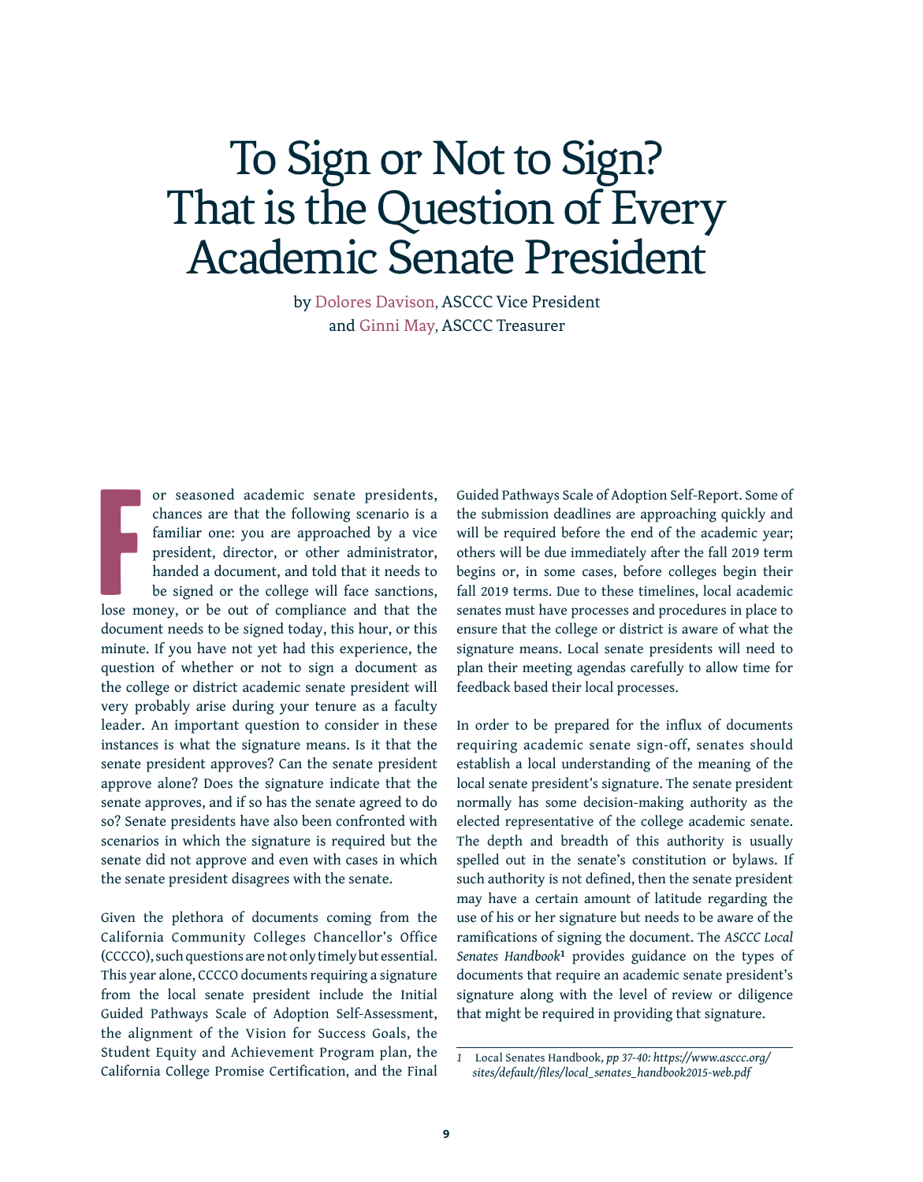## To Sign or Not to Sign? That is the Question of Every Academic Senate President

by Dolores Davison, ASCCC Vice President and Ginni May, ASCCC Treasurer

Formation of the contract of the contract of the contract of the contract of the contract of the contract of the contract of the contract of the contract of the contract of the contract of the contract of the contract of t or seasoned academic senate presidents, chances are that the following scenario is a familiar one: you are approached by a vice president, director, or other administrator, handed a document, and told that it needs to be signed or the college will face sanctions, lose money, or be out of compliance and that the document needs to be signed today, this hour, or this minute. If you have not yet had this experience, the question of whether or not to sign a document as the college or district academic senate president will very probably arise during your tenure as a faculty leader. An important question to consider in these instances is what the signature means. Is it that the senate president approves? Can the senate president approve alone? Does the signature indicate that the senate approves, and if so has the senate agreed to do so? Senate presidents have also been confronted with scenarios in which the signature is required but the senate did not approve and even with cases in which the senate president disagrees with the senate.

Given the plethora of documents coming from the California Community Colleges Chancellor's Office (CCCCO), such questions are not only timely but essential. This year alone, CCCCO documents requiring a signature from the local senate president include the Initial Guided Pathways Scale of Adoption Self-Assessment, the alignment of the Vision for Success Goals, the Student Equity and Achievement Program plan, the California College Promise Certification, and the Final Guided Pathways Scale of Adoption Self-Report. Some of the submission deadlines are approaching quickly and will be required before the end of the academic year; others will be due immediately after the fall 2019 term begins or, in some cases, before colleges begin their fall 2019 terms. Due to these timelines, local academic senates must have processes and procedures in place to ensure that the college or district is aware of what the signature means. Local senate presidents will need to plan their meeting agendas carefully to allow time for feedback based their local processes.

In order to be prepared for the influx of documents requiring academic senate sign-off, senates should establish a local understanding of the meaning of the local senate president's signature. The senate president normally has some decision-making authority as the elected representative of the college academic senate. The depth and breadth of this authority is usually spelled out in the senate's constitution or bylaws. If such authority is not defined, then the senate president may have a certain amount of latitude regarding the use of his or her signature but needs to be aware of the ramifications of signing the document. The *ASCCC Local Senates Handbook***1** provides guidance on the types of documents that require an academic senate president's signature along with the level of review or diligence that might be required in providing that signature.

*<sup>1</sup>* Local Senates Handbook*, pp 37-40: [https://www.asccc.org/](https://www.asccc.org/sites/default/files/local_senates_handbook2015-web.pdf) [sites/default/files/local\\_senates\\_handbook2015-web.pdf](https://www.asccc.org/sites/default/files/local_senates_handbook2015-web.pdf)*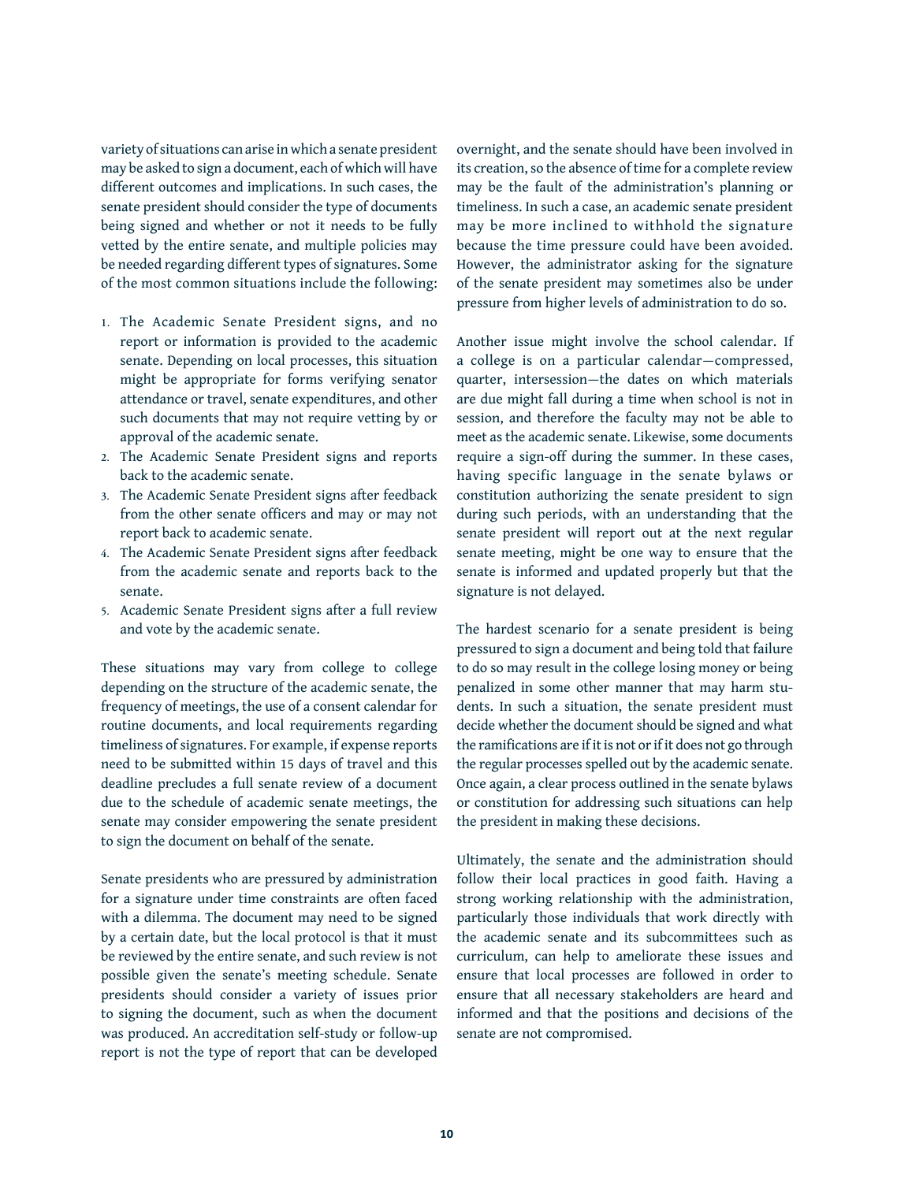variety of situations can arise in which a senate president may be asked to sign a document, each of which will have different outcomes and implications. In such cases, the senate president should consider the type of documents being signed and whether or not it needs to be fully vetted by the entire senate, and multiple policies may be needed regarding different types of signatures. Some of the most common situations include the following:

- **1.** The Academic Senate President signs, and no report or information is provided to the academic senate. Depending on local processes, this situation might be appropriate for forms verifying senator attendance or travel, senate expenditures, and other such documents that may not require vetting by or approval of the academic senate.
- **2.** The Academic Senate President signs and reports back to the academic senate.
- **3.** The Academic Senate President signs after feedback from the other senate officers and may or may not report back to academic senate.
- **4.** The Academic Senate President signs after feedback from the academic senate and reports back to the senate.
- **5.** Academic Senate President signs after a full review and vote by the academic senate.

These situations may vary from college to college depending on the structure of the academic senate, the frequency of meetings, the use of a consent calendar for routine documents, and local requirements regarding timeliness of signatures. For example, if expense reports need to be submitted within 15 days of travel and this deadline precludes a full senate review of a document due to the schedule of academic senate meetings, the senate may consider empowering the senate president to sign the document on behalf of the senate.

Senate presidents who are pressured by administration for a signature under time constraints are often faced with a dilemma. The document may need to be signed by a certain date, but the local protocol is that it must be reviewed by the entire senate, and such review is not possible given the senate's meeting schedule. Senate presidents should consider a variety of issues prior to signing the document, such as when the document was produced. An accreditation self-study or follow-up report is not the type of report that can be developed

overnight, and the senate should have been involved in its creation, so the absence of time for a complete review may be the fault of the administration's planning or timeliness. In such a case, an academic senate president may be more inclined to withhold the signature because the time pressure could have been avoided. However, the administrator asking for the signature of the senate president may sometimes also be under pressure from higher levels of administration to do so.

Another issue might involve the school calendar. If a college is on a particular calendar—compressed, quarter, intersession—the dates on which materials are due might fall during a time when school is not in session, and therefore the faculty may not be able to meet as the academic senate. Likewise, some documents require a sign-off during the summer. In these cases, having specific language in the senate bylaws or constitution authorizing the senate president to sign during such periods, with an understanding that the senate president will report out at the next regular senate meeting, might be one way to ensure that the senate is informed and updated properly but that the signature is not delayed.

The hardest scenario for a senate president is being pressured to sign a document and being told that failure to do so may result in the college losing money or being penalized in some other manner that may harm students. In such a situation, the senate president must decide whether the document should be signed and what the ramifications are if it is not or if it does not go through the regular processes spelled out by the academic senate. Once again, a clear process outlined in the senate bylaws or constitution for addressing such situations can help the president in making these decisions.

Ultimately, the senate and the administration should follow their local practices in good faith. Having a strong working relationship with the administration, particularly those individuals that work directly with the academic senate and its subcommittees such as curriculum, can help to ameliorate these issues and ensure that local processes are followed in order to ensure that all necessary stakeholders are heard and informed and that the positions and decisions of the senate are not compromised.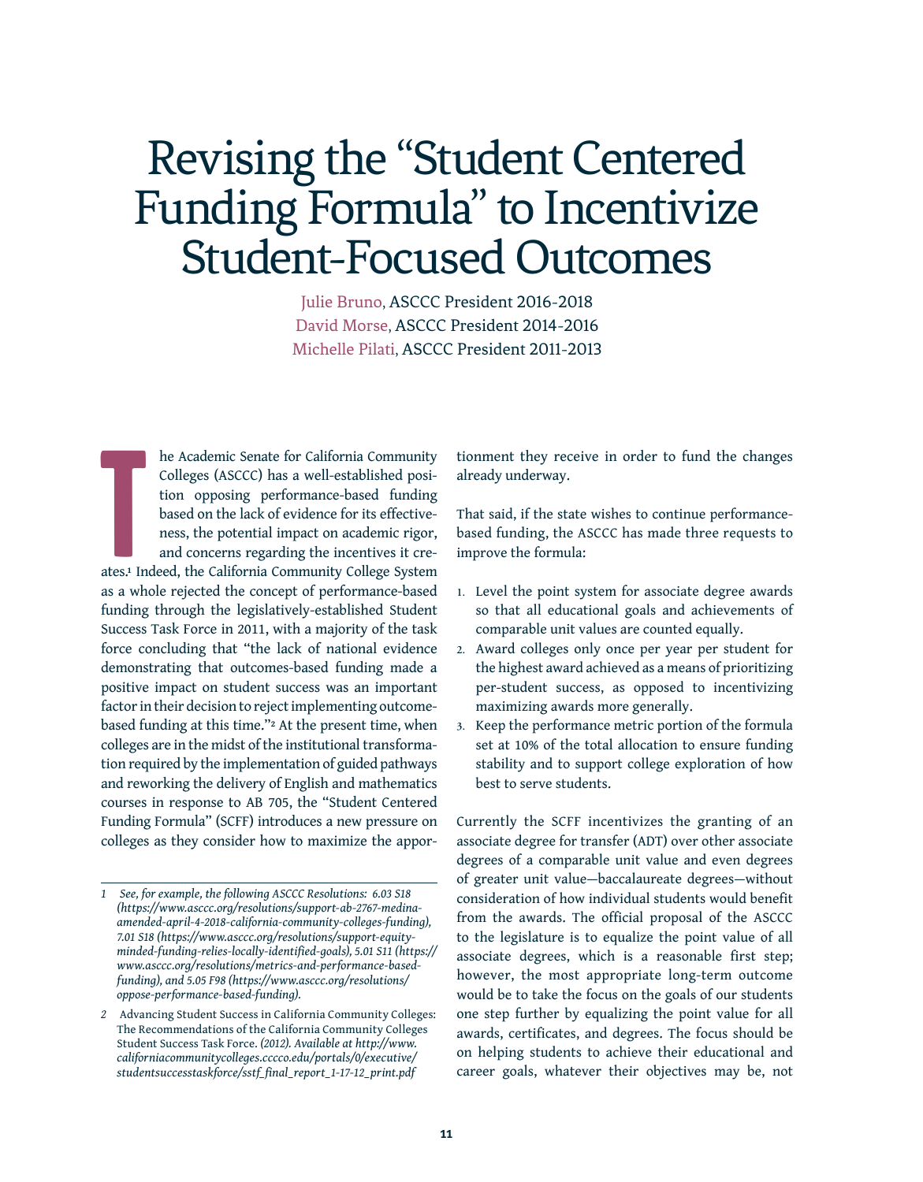# Revising the "Student Centered Funding Formula" to Incentivize Student-Focused Outcomes

Julie Bruno, ASCCC President 2016-2018 David Morse, ASCCC President 2014-2016 Michelle Pilati, ASCCC President 2011-2013

T he Academic Senate for California Community Colleges (ASCCC) has a well-established position opposing performance-based funding based on the lack of evidence for its effectiveness, the potential impact on academic rigor, and concerns regarding the incentives it creates.**1** Indeed, the California Community College System as a whole rejected the concept of performance-based funding through the legislatively-established Student Success Task Force in 2011, with a majority of the task force concluding that "the lack of national evidence demonstrating that outcomes-based funding made a positive impact on student success was an important factor in their decision to reject implementing outcomebased funding at this time."**2** At the present time, when colleges are in the midst of the institutional transformation required by the implementation of guided pathways and reworking the delivery of English and mathematics courses in response to AB 705, the "Student Centered Funding Formula" (SCFF) introduces a new pressure on colleges as they consider how to maximize the appor-

tionment they receive in order to fund the changes already underway.

That said, if the state wishes to continue performancebased funding, the ASCCC has made three requests to improve the formula:

- **1.** Level the point system for associate degree awards so that all educational goals and achievements of comparable unit values are counted equally.
- **2.** Award colleges only once per year per student for the highest award achieved as a means of prioritizing per-student success, as opposed to incentivizing maximizing awards more generally.
- **3.** Keep the performance metric portion of the formula set at 10% of the total allocation to ensure funding stability and to support college exploration of how best to serve students.

Currently the SCFF incentivizes the granting of an associate degree for transfer (ADT) over other associate degrees of a comparable unit value and even degrees of greater unit value—baccalaureate degrees—without consideration of how individual students would benefit from the awards. The official proposal of the ASCCC to the legislature is to equalize the point value of all associate degrees, which is a reasonable first step; however, the most appropriate long-term outcome would be to take the focus on the goals of our students one step further by equalizing the point value for all awards, certificates, and degrees. The focus should be on helping students to achieve their educational and career goals, whatever their objectives may be, not

*<sup>1</sup> See, for example, the following ASCCC Resolutions: 6.03 S18 ([https://www.asccc.org/resolutions/support-ab-2767-medina](https://www.asccc.org/resolutions/support-ab-2767-medina-amended-april-4-2018-california-community-colleges-funding))[amended-april-4-2018-california-community-colleges-funding\),](https://www.asccc.org/resolutions/support-ab-2767-medina-amended-april-4-2018-california-community-colleges-funding)) 7.01 S18 [\(https://www.asccc.org/resolutions/support-equity](https://www.asccc.org/resolutions/support-equity-minded-funding-relies-locally-identified-goals))[minded-funding-relies-locally-identified-goals\)](https://www.asccc.org/resolutions/support-equity-minded-funding-relies-locally-identified-goals)), 5.01 S11 [\(https://](https://www.asccc.org/resolutions/metrics-and-performance-based-funding)) [www.asccc.org/resolutions/metrics-and-performance-based](https://www.asccc.org/resolutions/metrics-and-performance-based-funding))[funding\),](https://www.asccc.org/resolutions/metrics-and-performance-based-funding)) and 5.05 F98 ([https://www.asccc.org/resolutions/](https://www.asccc.org/resolutions/oppose-performance-based-funding) [oppose-performance-based-funding\)](https://www.asccc.org/resolutions/oppose-performance-based-funding).*

*<sup>2</sup>* Advancing Student Success in California Community Colleges: The Recommendations of the California Community Colleges Student Success Task Force. *(2012). Available at [http://www.](http://www.californiacommunitycolleges.cccco.edu/portals/0/executive/studentsuccesstaskforce/sstf_final_report_1-17-12_print.pdf) [californiacommunitycolleges.cccco.edu/portals/0/executive/](http://www.californiacommunitycolleges.cccco.edu/portals/0/executive/studentsuccesstaskforce/sstf_final_report_1-17-12_print.pdf) [studentsuccesstaskforce/sstf\\_final\\_report\\_1-17-12\\_print.pdf](http://www.californiacommunitycolleges.cccco.edu/portals/0/executive/studentsuccesstaskforce/sstf_final_report_1-17-12_print.pdf)*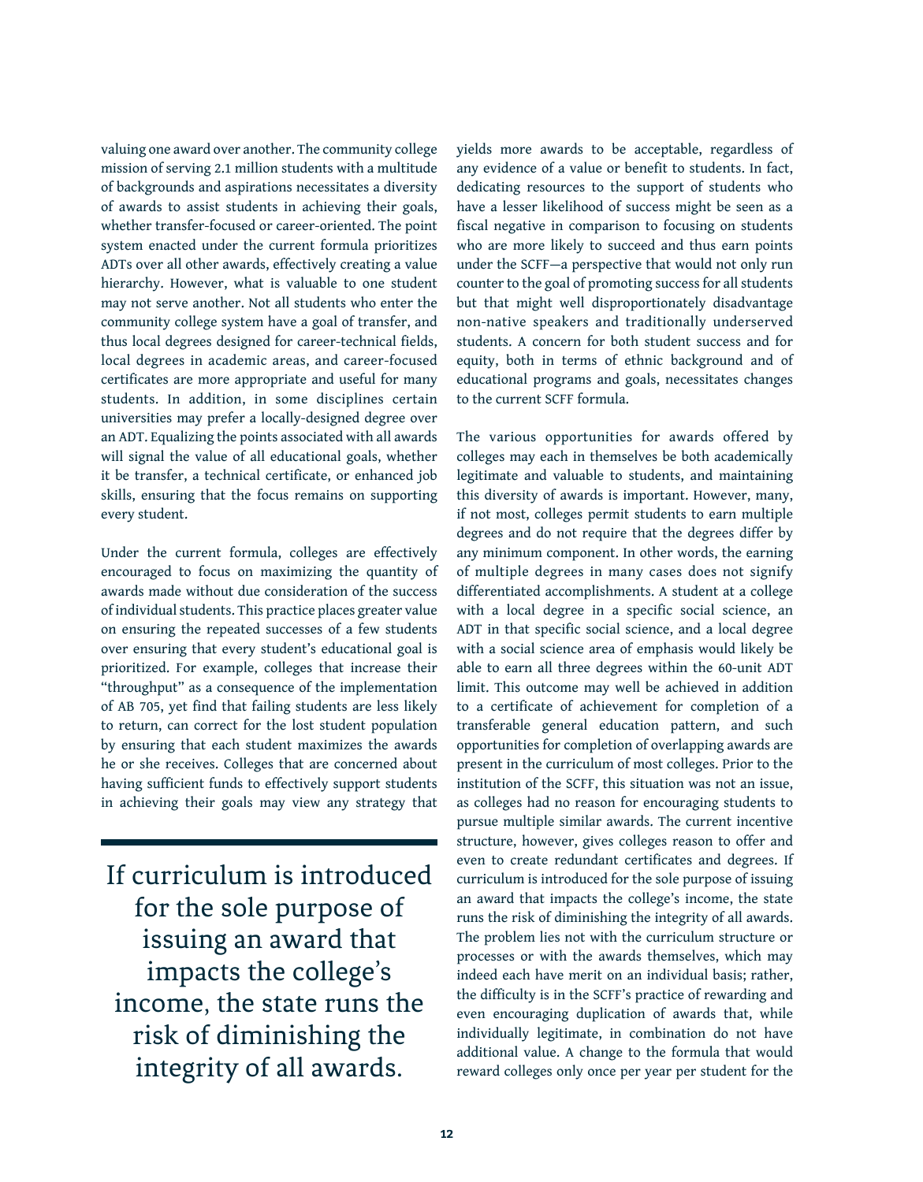valuing one award over another. The community college mission of serving 2.1 million students with a multitude of backgrounds and aspirations necessitates a diversity of awards to assist students in achieving their goals, whether transfer-focused or career-oriented. The point system enacted under the current formula prioritizes ADTs over all other awards, effectively creating a value hierarchy. However, what is valuable to one student may not serve another. Not all students who enter the community college system have a goal of transfer, and thus local degrees designed for career-technical fields, local degrees in academic areas, and career-focused certificates are more appropriate and useful for many students. In addition, in some disciplines certain universities may prefer a locally-designed degree over an ADT. Equalizing the points associated with all awards will signal the value of all educational goals, whether it be transfer, a technical certificate, or enhanced job skills, ensuring that the focus remains on supporting every student.

Under the current formula, colleges are effectively encouraged to focus on maximizing the quantity of awards made without due consideration of the success of individual students. This practice places greater value on ensuring the repeated successes of a few students over ensuring that every student's educational goal is prioritized. For example, colleges that increase their "throughput" as a consequence of the implementation of AB 705, yet find that failing students are less likely to return, can correct for the lost student population by ensuring that each student maximizes the awards he or she receives. Colleges that are concerned about having sufficient funds to effectively support students in achieving their goals may view any strategy that

If curriculum is introduced for the sole purpose of issuing an award that impacts the college's income, the state runs the risk of diminishing the integrity of all awards.

yields more awards to be acceptable, regardless of any evidence of a value or benefit to students. In fact, dedicating resources to the support of students who have a lesser likelihood of success might be seen as a fiscal negative in comparison to focusing on students who are more likely to succeed and thus earn points under the SCFF—a perspective that would not only run counter to the goal of promoting success for all students but that might well disproportionately disadvantage non-native speakers and traditionally underserved students. A concern for both student success and for equity, both in terms of ethnic background and of educational programs and goals, necessitates changes to the current SCFF formula.

The various opportunities for awards offered by colleges may each in themselves be both academically legitimate and valuable to students, and maintaining this diversity of awards is important. However, many, if not most, colleges permit students to earn multiple degrees and do not require that the degrees differ by any minimum component. In other words, the earning of multiple degrees in many cases does not signify differentiated accomplishments. A student at a college with a local degree in a specific social science, an ADT in that specific social science, and a local degree with a social science area of emphasis would likely be able to earn all three degrees within the 60-unit ADT limit. This outcome may well be achieved in addition to a certificate of achievement for completion of a transferable general education pattern, and such opportunities for completion of overlapping awards are present in the curriculum of most colleges. Prior to the institution of the SCFF, this situation was not an issue, as colleges had no reason for encouraging students to pursue multiple similar awards. The current incentive structure, however, gives colleges reason to offer and even to create redundant certificates and degrees. If curriculum is introduced for the sole purpose of issuing an award that impacts the college's income, the state runs the risk of diminishing the integrity of all awards. The problem lies not with the curriculum structure or processes or with the awards themselves, which may indeed each have merit on an individual basis; rather, the difficulty is in the SCFF's practice of rewarding and even encouraging duplication of awards that, while individually legitimate, in combination do not have additional value. A change to the formula that would reward colleges only once per year per student for the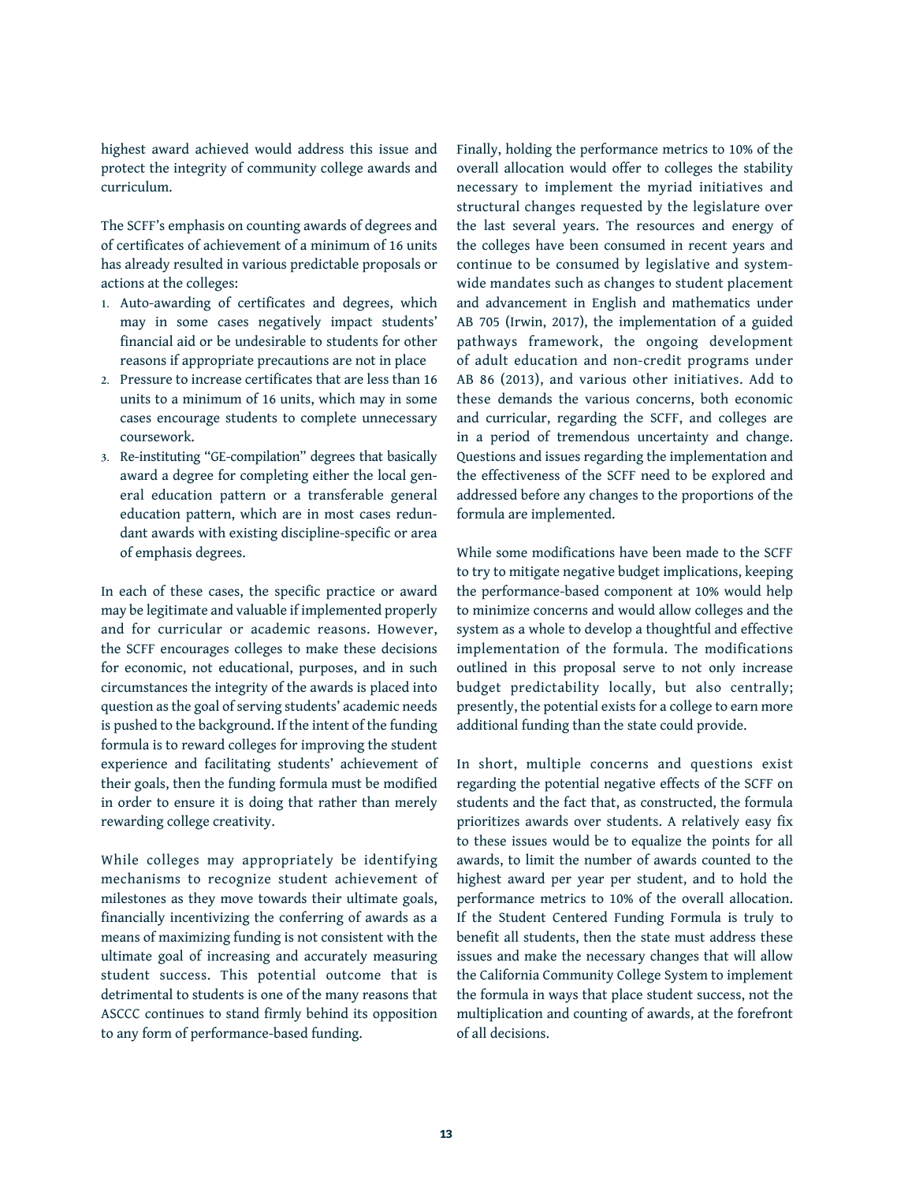highest award achieved would address this issue and protect the integrity of community college awards and curriculum.

The SCFF's emphasis on counting awards of degrees and of certificates of achievement of a minimum of 16 units has already resulted in various predictable proposals or actions at the colleges:

- **1.** Auto-awarding of certificates and degrees, which may in some cases negatively impact students' financial aid or be undesirable to students for other reasons if appropriate precautions are not in place
- **2.** Pressure to increase certificates that are less than 16 units to a minimum of 16 units, which may in some cases encourage students to complete unnecessary coursework.
- **3.** Re-instituting "GE-compilation" degrees that basically award a degree for completing either the local general education pattern or a transferable general education pattern, which are in most cases redundant awards with existing discipline-specific or area of emphasis degrees.

In each of these cases, the specific practice or award may be legitimate and valuable if implemented properly and for curricular or academic reasons. However, the SCFF encourages colleges to make these decisions for economic, not educational, purposes, and in such circumstances the integrity of the awards is placed into question as the goal of serving students' academic needs is pushed to the background. If the intent of the funding formula is to reward colleges for improving the student experience and facilitating students' achievement of their goals, then the funding formula must be modified in order to ensure it is doing that rather than merely rewarding college creativity.

While colleges may appropriately be identifying mechanisms to recognize student achievement of milestones as they move towards their ultimate goals, financially incentivizing the conferring of awards as a means of maximizing funding is not consistent with the ultimate goal of increasing and accurately measuring student success. This potential outcome that is detrimental to students is one of the many reasons that ASCCC continues to stand firmly behind its opposition to any form of performance-based funding.

Finally, holding the performance metrics to 10% of the overall allocation would offer to colleges the stability necessary to implement the myriad initiatives and structural changes requested by the legislature over the last several years. The resources and energy of the colleges have been consumed in recent years and continue to be consumed by legislative and systemwide mandates such as changes to student placement and advancement in English and mathematics under AB 705 (Irwin, 2017), the implementation of a guided pathways framework, the ongoing development of adult education and non-credit programs under AB 86 (2013), and various other initiatives. Add to these demands the various concerns, both economic and curricular, regarding the SCFF, and colleges are in a period of tremendous uncertainty and change. Questions and issues regarding the implementation and the effectiveness of the SCFF need to be explored and addressed before any changes to the proportions of the formula are implemented.

While some modifications have been made to the SCFF to try to mitigate negative budget implications, keeping the performance-based component at 10% would help to minimize concerns and would allow colleges and the system as a whole to develop a thoughtful and effective implementation of the formula. The modifications outlined in this proposal serve to not only increase budget predictability locally, but also centrally; presently, the potential exists for a college to earn more additional funding than the state could provide.

In short, multiple concerns and questions exist regarding the potential negative effects of the SCFF on students and the fact that, as constructed, the formula prioritizes awards over students. A relatively easy fix to these issues would be to equalize the points for all awards, to limit the number of awards counted to the highest award per year per student, and to hold the performance metrics to 10% of the overall allocation. If the Student Centered Funding Formula is truly to benefit all students, then the state must address these issues and make the necessary changes that will allow the California Community College System to implement the formula in ways that place student success, not the multiplication and counting of awards, at the forefront of all decisions.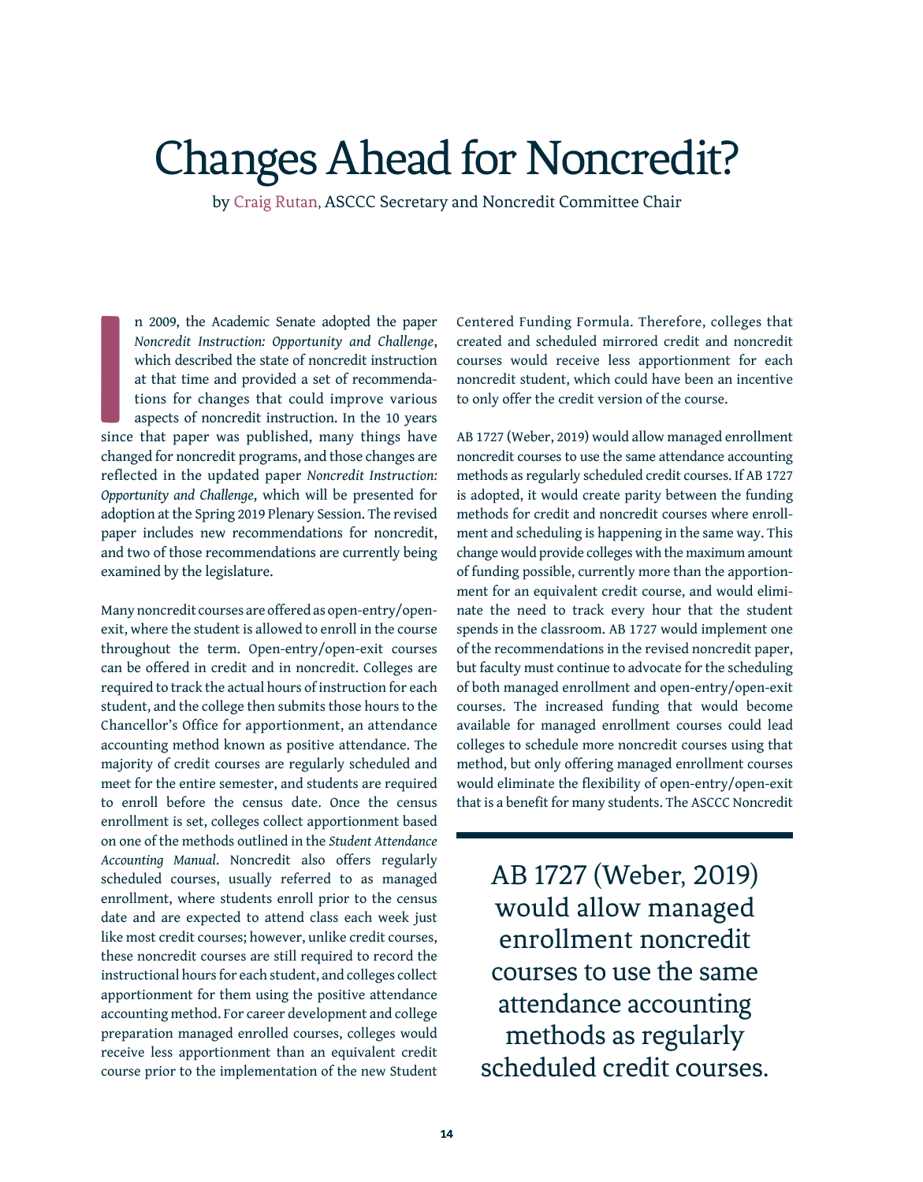### Changes Ahead for Noncredit?

by Craig Rutan, ASCCC Secretary and Noncredit Committee Chair

**I**<br>India<br>India n 2009, the Academic Senate adopted the paper *Noncredit Instruction: Opportunity and Challenge*, which described the state of noncredit instruction at that time and provided a set of recommendations for changes that could improve various aspects of noncredit instruction. In the 10 years since that paper was published, many things have changed for noncredit programs, and those changes are reflected in the updated paper *Noncredit Instruction: Opportunity and Challenge*, which will be presented for adoption at the Spring 2019 Plenary Session. The revised paper includes new recommendations for noncredit, and two of those recommendations are currently being examined by the legislature.

Many noncredit courses are offered as open-entry/openexit, where the student is allowed to enroll in the course throughout the term. Open-entry/open-exit courses can be offered in credit and in noncredit. Colleges are required to track the actual hours of instruction for each student, and the college then submits those hours to the Chancellor's Office for apportionment, an attendance accounting method known as positive attendance. The majority of credit courses are regularly scheduled and meet for the entire semester, and students are required to enroll before the census date. Once the census enrollment is set, colleges collect apportionment based on one of the methods outlined in the *Student Attendance Accounting Manual*. Noncredit also offers regularly scheduled courses, usually referred to as managed enrollment, where students enroll prior to the census date and are expected to attend class each week just like most credit courses; however, unlike credit courses, these noncredit courses are still required to record the instructional hours for each student, and colleges collect apportionment for them using the positive attendance accounting method. For career development and college preparation managed enrolled courses, colleges would receive less apportionment than an equivalent credit course prior to the implementation of the new Student Centered Funding Formula. Therefore, colleges that created and scheduled mirrored credit and noncredit courses would receive less apportionment for each noncredit student, which could have been an incentive to only offer the credit version of the course.

AB 1727 (Weber, 2019) would allow managed enrollment noncredit courses to use the same attendance accounting methods as regularly scheduled credit courses. If AB 1727 is adopted, it would create parity between the funding methods for credit and noncredit courses where enrollment and scheduling is happening in the same way. This change would provide colleges with the maximum amount of funding possible, currently more than the apportionment for an equivalent credit course, and would eliminate the need to track every hour that the student spends in the classroom. AB 1727 would implement one of the recommendations in the revised noncredit paper, but faculty must continue to advocate for the scheduling of both managed enrollment and open-entry/open-exit courses. The increased funding that would become available for managed enrollment courses could lead colleges to schedule more noncredit courses using that method, but only offering managed enrollment courses would eliminate the flexibility of open-entry/open-exit that is a benefit for many students. The ASCCC Noncredit

AB 1727 (Weber, 2019) would allow managed enrollment noncredit courses to use the same attendance accounting methods as regularly scheduled credit courses.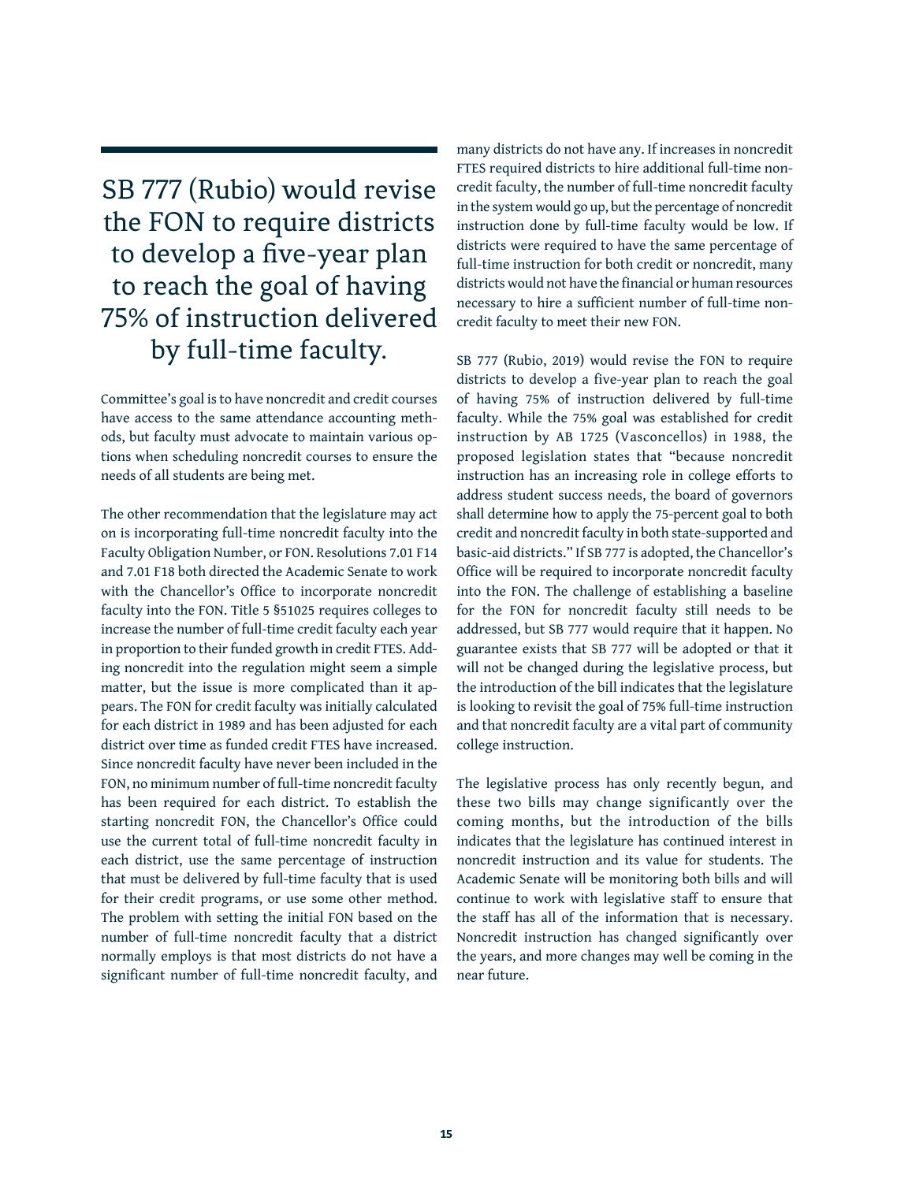SB 777 (Rubio) would revise the FON to require districts to develop a five-year plan to reach the goal of having 75% of instruction delivered by full-time faculty.

Committee's goal is to have noncredit and credit courses have access to the same attendance accounting methods, but faculty must advocate to maintain various options when scheduling noncredit courses to ensure the needs of all students are being met.

The other recommendation that the legislature may act on is incorporating full-time noncredit faculty into the Faculty Obligation Number, or FON. Resolutions 7.01 F14 and 7.01 F18 both directed the Academic Senate to work with the Chancellor's Office to incorporate noncredit faculty into the FON. Title 5 §51025 requires colleges to increase the number of full-time credit faculty each year in proportion to their funded growth in credit FTES. Adding noncredit into the regulation might seem a simple matter, but the issue is more complicated than it appears. The FON for credit faculty was initially calculated for each district in 1989 and has been adjusted for each district over time as funded credit FTES have increased. Since noncredit faculty have never been included in the FON, no minimum number of full-time noncredit faculty has been required for each district. To establish the starting noncredit FON, the Chancellor's Office could use the current total of full-time noncredit faculty in each district, use the same percentage of instruction that must be delivered by full-time faculty that is used for their credit programs, or use some other method. The problem with setting the initial FON based on the number of full-time noncredit faculty that a district normally employs is that most districts do not have a significant number of full-time noncredit faculty, and

many districts do not have any. If increases in noncredit FTES required districts to hire additional full-time noncredit faculty, the number of full-time noncredit faculty in the system would go up, but the percentage of noncredit instruction done by full-time faculty would be low. If districts were required to have the same percentage of full-time instruction for both credit or noncredit, many districts would not have the financial or human resources necessary to hire a sufficient number of full-time noncredit faculty to meet their new FON.

SB 777 (Rubio, 2019) would revise the FON to require districts to develop a five-year plan to reach the goal of having 75% of instruction delivered by full-time faculty. While the 75% goal was established for credit instruction by AB 1725 (Vasconcellos) in 1988, the proposed legislation states that "because noncredit instruction has an increasing role in college efforts to address student success needs, the board of governors shall determine how to apply the 75-percent goal to both credit and noncredit faculty in both state-supported and basic-aid districts." If SB 777 is adopted, the Chancellor's Office will be required to incorporate noncredit faculty into the FON. The challenge of establishing a baseline for the FON for noncredit faculty still needs to be addressed, but SB 777 would require that it happen. No guarantee exists that SB 777 will be adopted or that it will not be changed during the legislative process, but the introduction of the bill indicates that the legislature is looking to revisit the goal of 75% full-time instruction and that noncredit faculty are a vital part of community college instruction.

The legislative process has only recently begun, and these two bills may change significantly over the coming months, but the introduction of the bills indicates that the legislature has continued interest in noncredit instruction and its value for students. The Academic Senate will be monitoring both bills and will continue to work with legislative staff to ensure that the staff has all of the information that is necessary. Noncredit instruction has changed significantly over the years, and more changes may well be coming in the near future.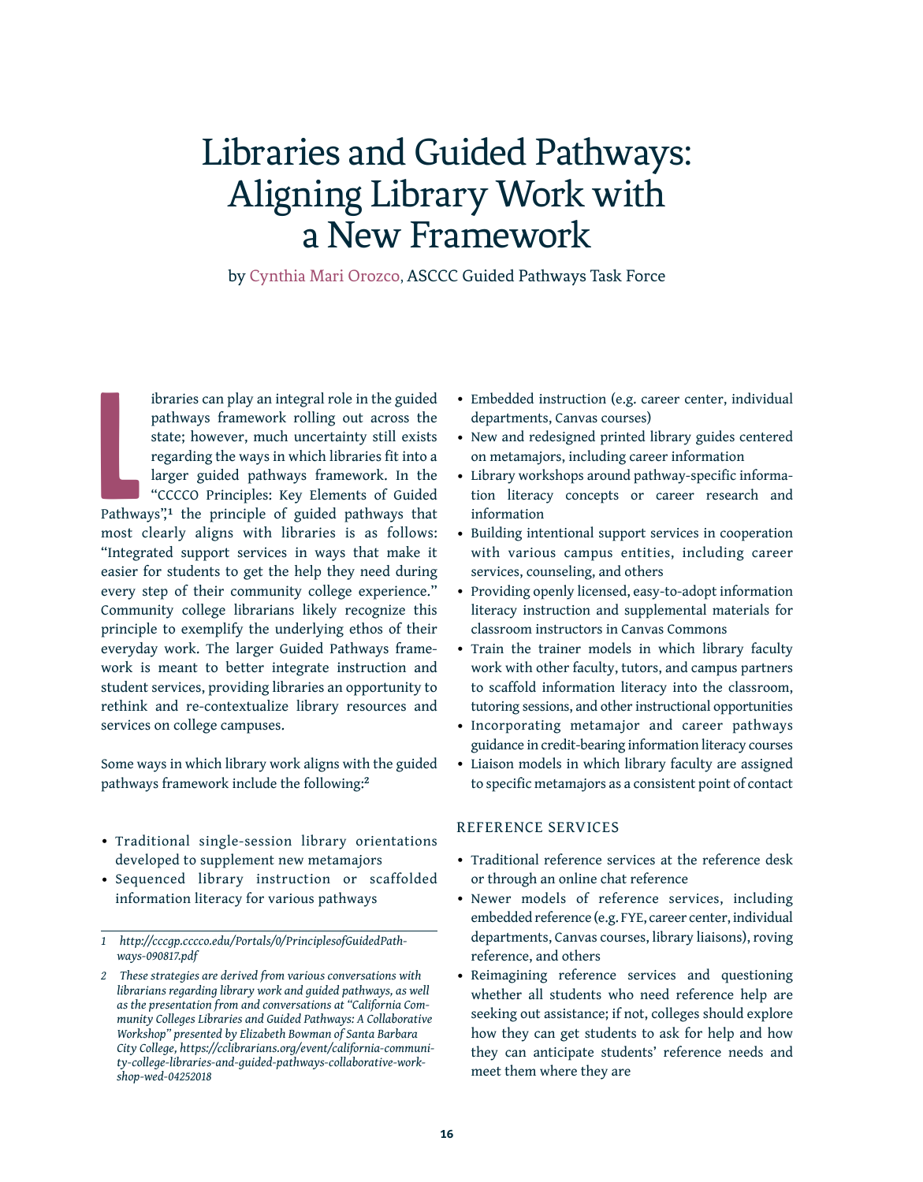### Libraries and Guided Pathways: Aligning Library Work with a New Framework

by Cynthia Mari Orozco, ASCCC Guided Pathways Task Force

**Lating** ibraries can play an integral role in the guided pathways framework rolling out across the state; however, much uncertainty still exists regarding the ways in which libraries fit into a larger guided pathways framework. In the "CCCCO Principles: Key Elements of Guided Pathways",**<sup>1</sup>** the principle of guided pathways that most clearly aligns with libraries is as follows: "Integrated support services in ways that make it easier for students to get the help they need during every step of their community college experience." Community college librarians likely recognize this principle to exemplify the underlying ethos of their everyday work. The larger Guided Pathways framework is meant to better integrate instruction and student services, providing libraries an opportunity to rethink and re-contextualize library resources and services on college campuses.

Some ways in which library work aligns with the guided pathways framework include the following:**<sup>2</sup>**

- Traditional single-session library orientations developed to supplement new metamajors
- Sequenced library instruction or scaffolded information literacy for various pathways
- Embedded instruction (e.g. career center, individual departments, Canvas courses)
- New and redesigned printed library guides centered on metamajors, including career information
- Library workshops around pathway-specific information literacy concepts or career research and information
- Building intentional support services in cooperation with various campus entities, including career services, counseling, and others
- Providing openly licensed, easy-to-adopt information literacy instruction and supplemental materials for classroom instructors in Canvas Commons
- Train the trainer models in which library faculty work with other faculty, tutors, and campus partners to scaffold information literacy into the classroom, tutoring sessions, and other instructional opportunities
- Incorporating metamajor and career pathways guidance in credit-bearing information literacy courses
- Liaison models in which library faculty are assigned to specific metamajors as a consistent point of contact

#### REFERENCE SERVICES

- Traditional reference services at the reference desk or through an online chat reference
- Newer models of reference services, including embedded reference (e.g. FYE, career center, individual departments, Canvas courses, library liaisons), roving reference, and others
- Reimagining reference services and questioning whether all students who need reference help are seeking out assistance; if not, colleges should explore how they can get students to ask for help and how they can anticipate students' reference needs and meet them where they are

*<sup>1</sup> [http://cccgp.cccco.edu/Portals/0/PrinciplesofGuidedPath](http://cccgp.cccco.edu/Portals/0/PrinciplesofGuidedPathways-090817.pdf)[ways-090817.pdf](http://cccgp.cccco.edu/Portals/0/PrinciplesofGuidedPathways-090817.pdf)*

*<sup>2</sup> These strategies are derived from various conversations with librarians regarding library work and guided pathways, as well as the presentation from and conversations at "California Community Colleges Libraries and Guided Pathways: A Collaborative Workshop" presented by Elizabeth Bowman of Santa Barbara City College, [https://cclibrarians.org/event/california-communi](https://cclibrarians.org/event/california-community-college-libraries-and-guided-pathways-collaborative-workshop-wed-04252018)[ty-college-libraries-and-guided-pathways-collaborative-work](https://cclibrarians.org/event/california-community-college-libraries-and-guided-pathways-collaborative-workshop-wed-04252018)[shop-wed-04252018](https://cclibrarians.org/event/california-community-college-libraries-and-guided-pathways-collaborative-workshop-wed-04252018)*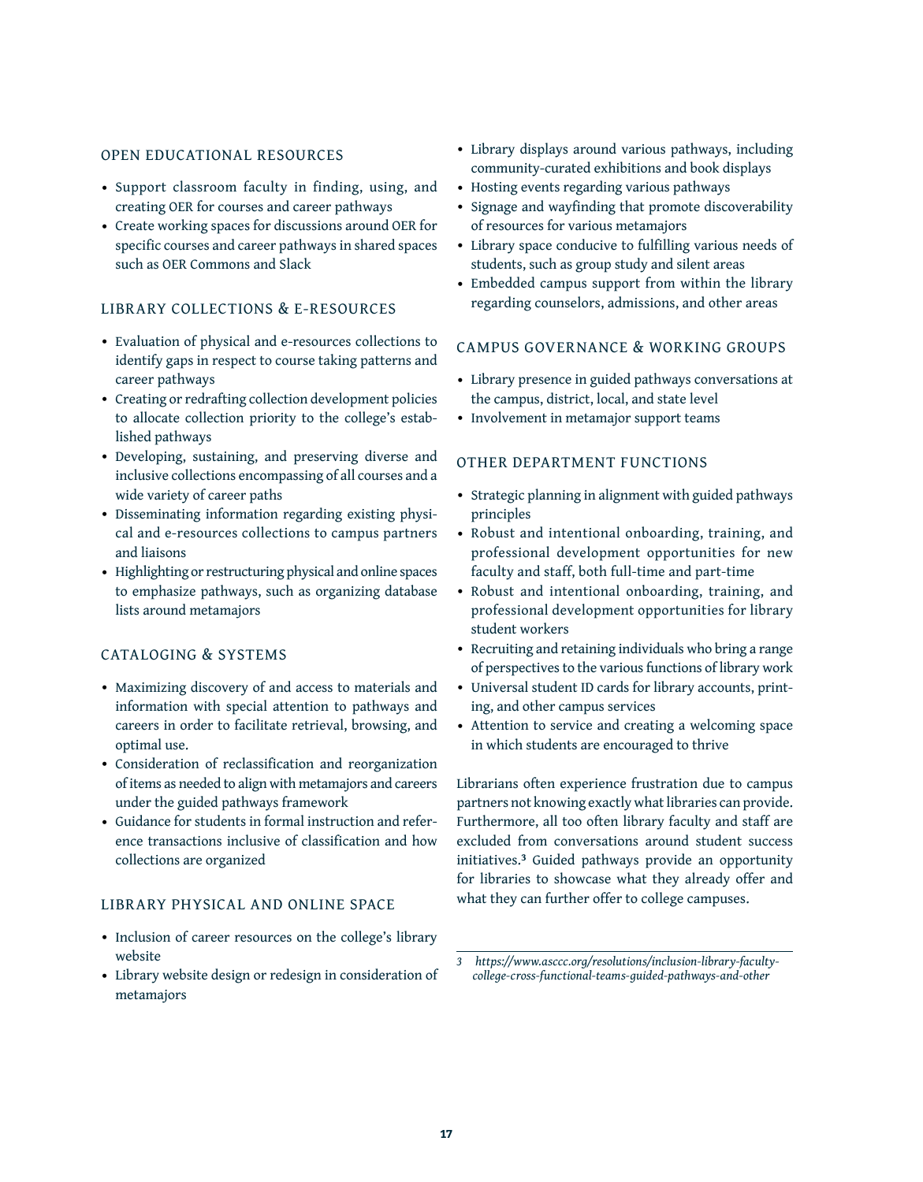### OPEN EDUCATIONAL RESOURCES

- Support classroom faculty in finding, using, and creating OER for courses and career pathways
- Create working spaces for discussions around OER for specific courses and career pathways in shared spaces such as OER Commons and Slack

### LIBRARY COLLECTIONS & E-RESOURCES

- Evaluation of physical and e-resources collections to identify gaps in respect to course taking patterns and career pathways
- Creating or redrafting collection development policies to allocate collection priority to the college's established pathways
- Developing, sustaining, and preserving diverse and inclusive collections encompassing of all courses and a wide variety of career paths
- Disseminating information regarding existing physical and e-resources collections to campus partners and liaisons
- Highlighting or restructuring physical and online spaces to emphasize pathways, such as organizing database lists around metamajors

#### CATALOGING & SYSTEMS

- Maximizing discovery of and access to materials and information with special attention to pathways and careers in order to facilitate retrieval, browsing, and optimal use.
- Consideration of reclassification and reorganization of items as needed to align with metamajors and careers under the guided pathways framework
- Guidance for students in formal instruction and reference transactions inclusive of classification and how collections are organized

#### LIBRARY PHYSICAL AND ONLINE SPACE

- Inclusion of career resources on the college's library website
- Library website design or redesign in consideration of metamajors
- Library displays around various pathways, including community-curated exhibitions and book displays
- Hosting events regarding various pathways
- Signage and wayfinding that promote discoverability of resources for various metamajors
- Library space conducive to fulfilling various needs of students, such as group study and silent areas
- Embedded campus support from within the library regarding counselors, admissions, and other areas

### CAMPUS GOVERNANCE & WORKING GROUPS

- Library presence in guided pathways conversations at the campus, district, local, and state level
- Involvement in metamajor support teams

### OTHER DEPARTMENT FUNCTIONS

- Strategic planning in alignment with guided pathways principles
- Robust and intentional onboarding, training, and professional development opportunities for new faculty and staff, both full-time and part-time
- Robust and intentional onboarding, training, and professional development opportunities for library student workers
- Recruiting and retaining individuals who bring a range of perspectives to the various functions of library work
- Universal student ID cards for library accounts, printing, and other campus services
- Attention to service and creating a welcoming space in which students are encouraged to thrive

Librarians often experience frustration due to campus partners not knowing exactly what libraries can provide. Furthermore, all too often library faculty and staff are excluded from conversations around student success initiatives.**3** Guided pathways provide an opportunity for libraries to showcase what they already offer and what they can further offer to college campuses.

*<sup>3</sup> [https://www.asccc.org/resolutions/inclusion-library-faculty](https://www.asccc.org/resolutions/inclusion-library-faculty-college-cross-functional-teams-guided-pathways-and-other)[college-cross-functional-teams-guided-pathways-and-other](https://www.asccc.org/resolutions/inclusion-library-faculty-college-cross-functional-teams-guided-pathways-and-other)*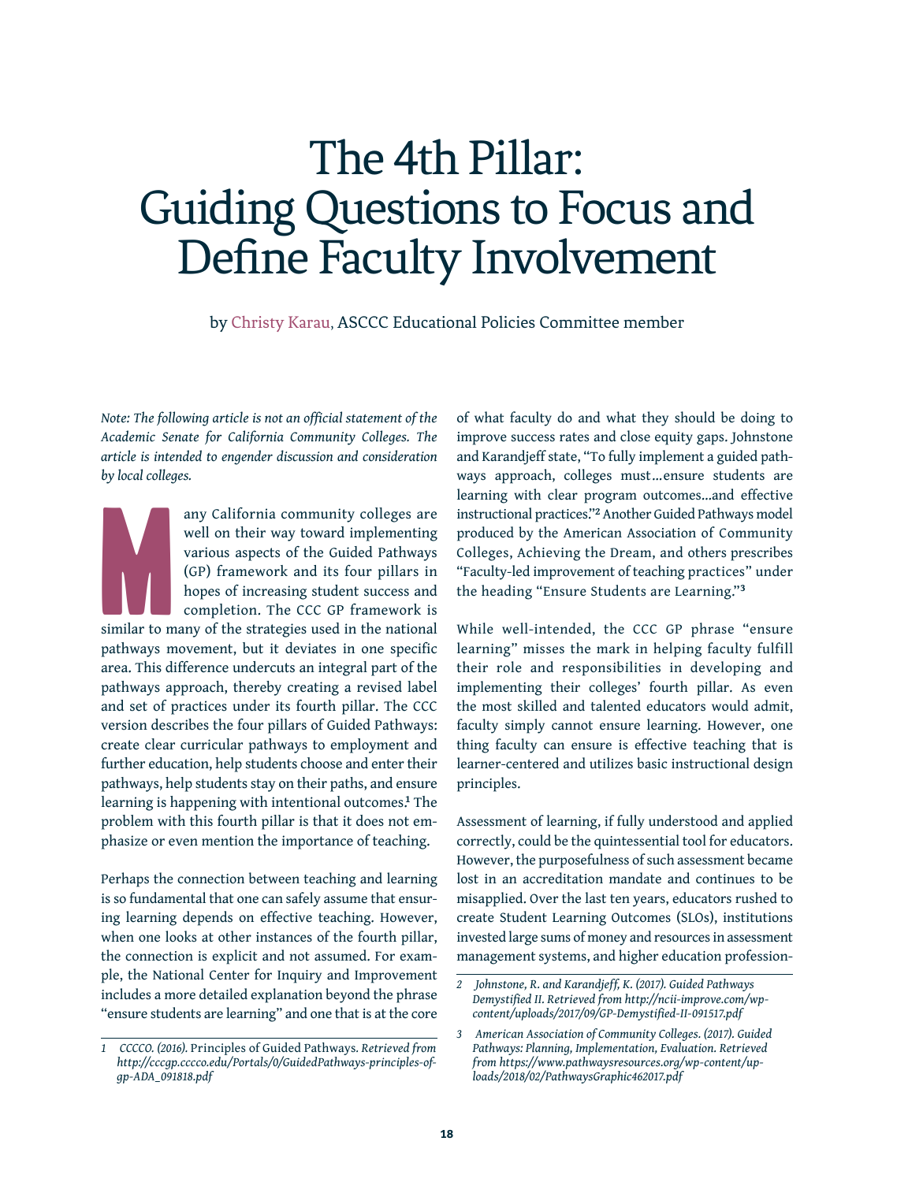## The 4th Pillar: Guiding Questions to Focus and Define Faculty Involvement

by Christy Karau, ASCCC Educational Policies Committee member

*Note: The following article is not an official statement of the Academic Senate for California Community Colleges. The article is intended to engender discussion and consideration by local colleges.*

Marian Company of the Marian Company of the Maria Company of the Maria Company of the Maria Company of the Maria Company of the Maria Company of the Maria Company of the Maria Company of the Maria Company of the Maria Comp any California community colleges are well on their way toward implementing various aspects of the Guided Pathways (GP) framework and its four pillars in hopes of increasing student success and completion. The CCC GP framework is similar to many of the strategies used in the national pathways movement, but it deviates in one specific area. This difference undercuts an integral part of the pathways approach, thereby creating a revised label and set of practices under its fourth pillar. The CCC version describes the four pillars of Guided Pathways: create clear curricular pathways to employment and further education, help students choose and enter their pathways, help students stay on their paths, and ensure learning is happening with intentional outcomes.**<sup>1</sup>** The problem with this fourth pillar is that it does not emphasize or even mention the importance of teaching.

Perhaps the connection between teaching and learning is so fundamental that one can safely assume that ensuring learning depends on effective teaching. However, when one looks at other instances of the fourth pillar, the connection is explicit and not assumed. For example, the National Center for Inquiry and Improvement includes a more detailed explanation beyond the phrase "ensure students are learning" and one that is at the core

of what faculty do and what they should be doing to improve success rates and close equity gaps. Johnstone and Karandjeff state, "To fully implement a guided pathways approach, colleges must…ensure students are learning with clear program outcomes…and effective instructional practices."**2** Another Guided Pathways model produced by the American Association of Community Colleges, Achieving the Dream, and others prescribes "Faculty-led improvement of teaching practices" under the heading "Ensure Students are Learning."**<sup>3</sup>**

While well-intended, the CCC GP phrase "ensure learning" misses the mark in helping faculty fulfill their role and responsibilities in developing and implementing their colleges' fourth pillar. As even the most skilled and talented educators would admit, faculty simply cannot ensure learning. However, one thing faculty can ensure is effective teaching that is learner-centered and utilizes basic instructional design principles.

Assessment of learning, if fully understood and applied correctly, could be the quintessential tool for educators. However, the purposefulness of such assessment became lost in an accreditation mandate and continues to be misapplied. Over the last ten years, educators rushed to create Student Learning Outcomes (SLOs), institutions invested large sums of money and resources in assessment management systems, and higher education profession-

*<sup>1</sup> CCCCO. (2016).* Principles of Guided Pathways*. Retrieved from http://cccgp.cccco.edu/Portals/0/GuidedPathways-principles-ofgp-ADA\_091818.pdf*

*<sup>2</sup> Johnstone, R. and Karandjeff, K. (2017). Guided Pathways Demystified II. Retrieved from http://ncii-improve.com/wpcontent/uploads/2017/09/GP-Demystified-II-091517.pdf*

*<sup>3</sup> American Association of Community Colleges. (2017). Guided Pathways: Planning, Implementation, Evaluation. Retrieved from https://www.pathwaysresources.org/wp-content/uploads/2018/02/PathwaysGraphic462017.pdf*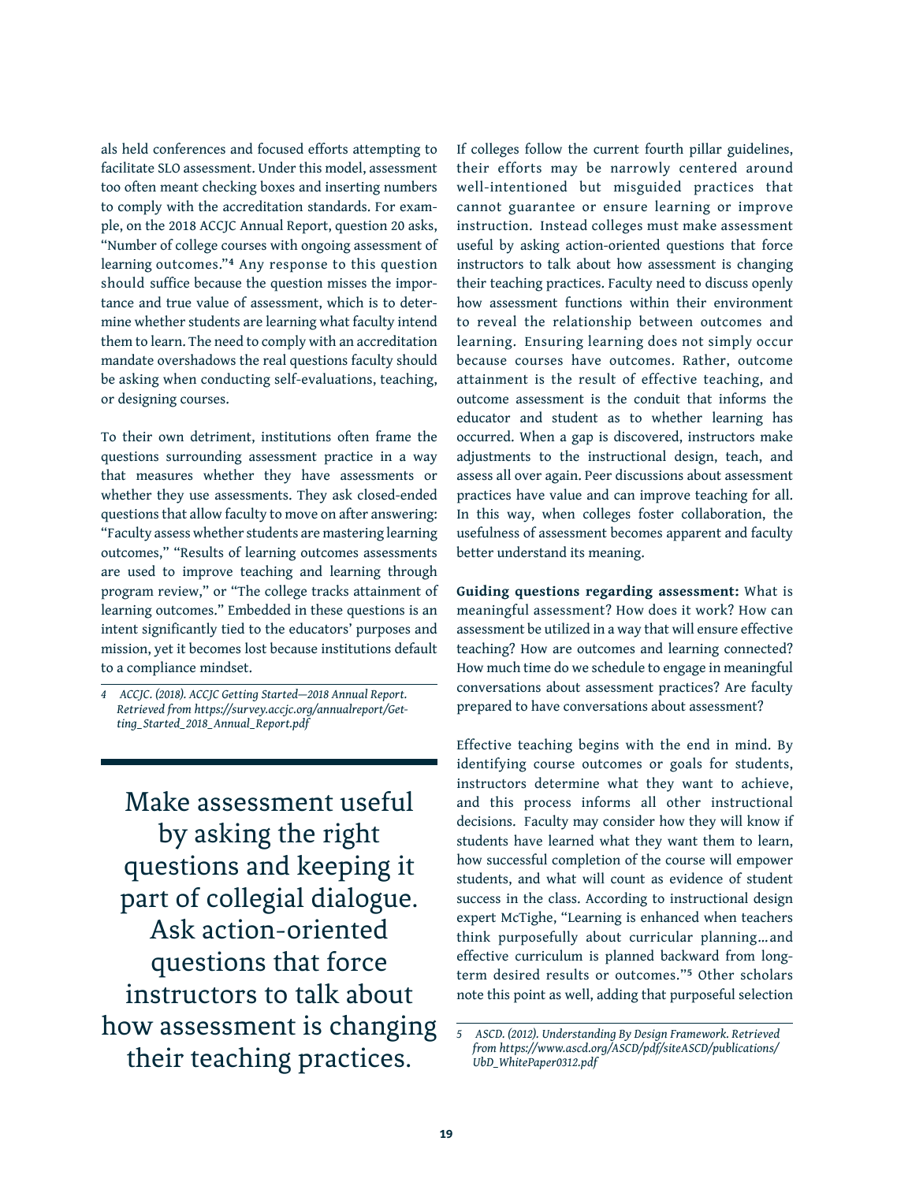als held conferences and focused efforts attempting to facilitate SLO assessment. Under this model, assessment too often meant checking boxes and inserting numbers to comply with the accreditation standards. For example, on the 2018 ACCJC Annual Report, question 20 asks, "Number of college courses with ongoing assessment of learning outcomes."**4** Any response to this question should suffice because the question misses the importance and true value of assessment, which is to determine whether students are learning what faculty intend them to learn. The need to comply with an accreditation mandate overshadows the real questions faculty should be asking when conducting self-evaluations, teaching, or designing courses.

To their own detriment, institutions often frame the questions surrounding assessment practice in a way that measures whether they have assessments or whether they use assessments. They ask closed-ended questions that allow faculty to move on after answering: "Faculty assess whether students are mastering learning outcomes," "Results of learning outcomes assessments are used to improve teaching and learning through program review," or "The college tracks attainment of learning outcomes." Embedded in these questions is an intent significantly tied to the educators' purposes and mission, yet it becomes lost because institutions default to a compliance mindset.

Make assessment useful by asking the right questions and keeping it part of collegial dialogue. Ask action-oriented questions that force instructors to talk about how assessment is changing their teaching practices.

If colleges follow the current fourth pillar guidelines, their efforts may be narrowly centered around well-intentioned but misguided practices that cannot guarantee or ensure learning or improve instruction. Instead colleges must make assessment useful by asking action-oriented questions that force instructors to talk about how assessment is changing their teaching practices. Faculty need to discuss openly how assessment functions within their environment to reveal the relationship between outcomes and learning. Ensuring learning does not simply occur because courses have outcomes. Rather, outcome attainment is the result of effective teaching, and outcome assessment is the conduit that informs the educator and student as to whether learning has occurred. When a gap is discovered, instructors make adjustments to the instructional design, teach, and assess all over again. Peer discussions about assessment practices have value and can improve teaching for all. In this way, when colleges foster collaboration, the usefulness of assessment becomes apparent and faculty better understand its meaning.

**Guiding questions regarding assessment:** What is meaningful assessment? How does it work? How can assessment be utilized in a way that will ensure effective teaching? How are outcomes and learning connected? How much time do we schedule to engage in meaningful conversations about assessment practices? Are faculty prepared to have conversations about assessment?

Effective teaching begins with the end in mind. By identifying course outcomes or goals for students, instructors determine what they want to achieve, and this process informs all other instructional decisions. Faculty may consider how they will know if students have learned what they want them to learn, how successful completion of the course will empower students, and what will count as evidence of student success in the class. According to instructional design expert McTighe, "Learning is enhanced when teachers think purposefully about curricular planning… and effective curriculum is planned backward from longterm desired results or outcomes."**5** Other scholars note this point as well, adding that purposeful selection

*<sup>4</sup> ACCJC. (2018). ACCJC Getting Started—2018 Annual Report. Retrieved from https://survey.accjc.org/annualreport/Getting\_Started\_2018\_Annual\_Report.pdf*

*<sup>5</sup> ASCD. (2012). Understanding By Design Framework. Retrieved from https://www.ascd.org/ASCD/pdf/siteASCD/publications/ UbD\_WhitePaper0312.pdf*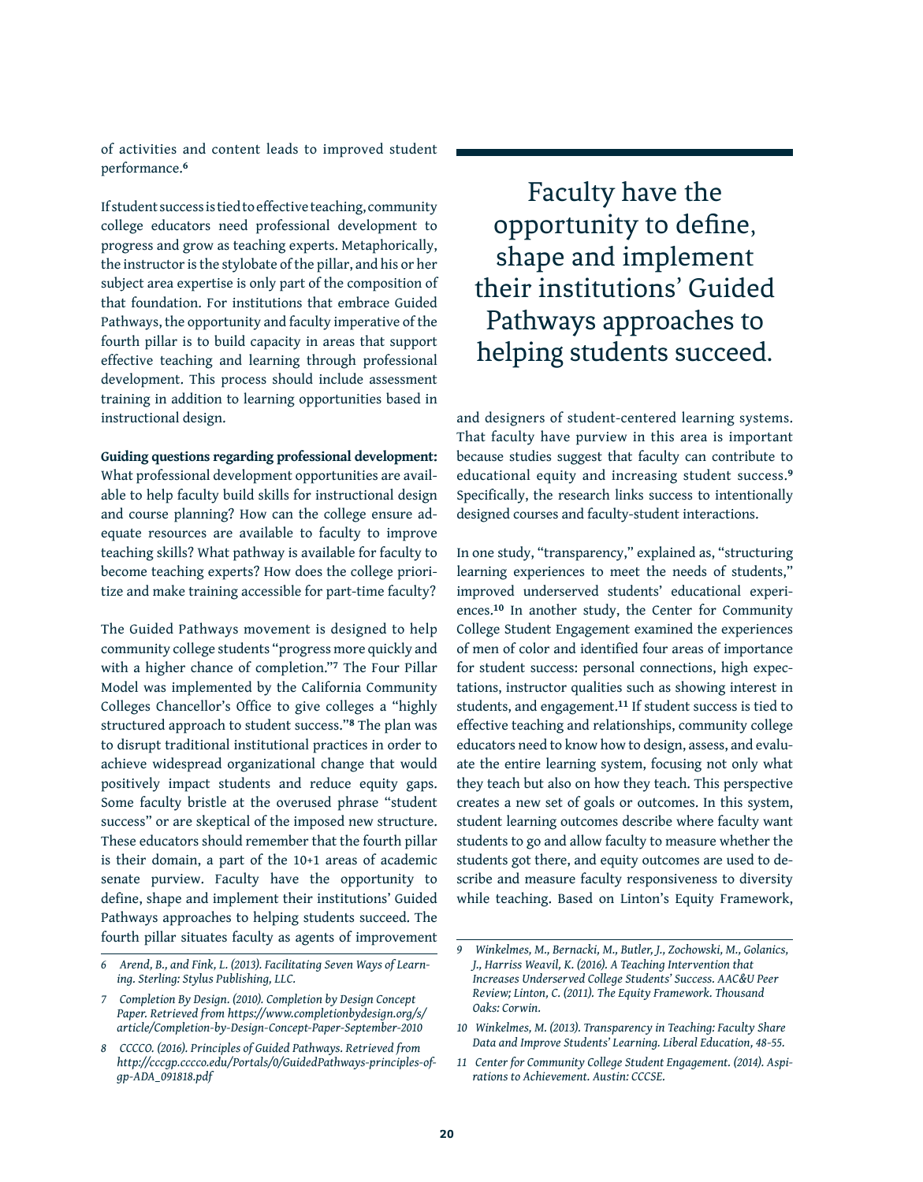of activities and content leads to improved student performance.**<sup>6</sup>**

If student success is tied to effective teaching, community college educators need professional development to progress and grow as teaching experts. Metaphorically, the instructor is the stylobate of the pillar, and his or her subject area expertise is only part of the composition of that foundation. For institutions that embrace Guided Pathways, the opportunity and faculty imperative of the fourth pillar is to build capacity in areas that support effective teaching and learning through professional development. This process should include assessment training in addition to learning opportunities based in instructional design.

**Guiding questions regarding professional development:**

What professional development opportunities are available to help faculty build skills for instructional design and course planning? How can the college ensure adequate resources are available to faculty to improve teaching skills? What pathway is available for faculty to become teaching experts? How does the college prioritize and make training accessible for part-time faculty?

The Guided Pathways movement is designed to help community college students "progress more quickly and with a higher chance of completion."**7** The Four Pillar Model was implemented by the California Community Colleges Chancellor's Office to give colleges a "highly structured approach to student success."**8** The plan was to disrupt traditional institutional practices in order to achieve widespread organizational change that would positively impact students and reduce equity gaps. Some faculty bristle at the overused phrase "student success" or are skeptical of the imposed new structure. These educators should remember that the fourth pillar is their domain, a part of the 10+1 areas of academic senate purview. Faculty have the opportunity to define, shape and implement their institutions' Guided Pathways approaches to helping students succeed. The fourth pillar situates faculty as agents of improvement

Faculty have the opportunity to define, shape and implement their institutions' Guided Pathways approaches to helping students succeed.

and designers of student-centered learning systems. That faculty have purview in this area is important because studies suggest that faculty can contribute to educational equity and increasing student success.**<sup>9</sup>** Specifically, the research links success to intentionally designed courses and faculty-student interactions.

In one study, "transparency," explained as, "structuring learning experiences to meet the needs of students," improved underserved students' educational experiences.**10** In another study, the Center for Community College Student Engagement examined the experiences of men of color and identified four areas of importance for student success: personal connections, high expectations, instructor qualities such as showing interest in students, and engagement.**11** If student success is tied to effective teaching and relationships, community college educators need to know how to design, assess, and evaluate the entire learning system, focusing not only what they teach but also on how they teach. This perspective creates a new set of goals or outcomes. In this system, student learning outcomes describe where faculty want students to go and allow faculty to measure whether the students got there, and equity outcomes are used to describe and measure faculty responsiveness to diversity while teaching. Based on Linton's Equity Framework,

*<sup>6</sup> Arend, B., and Fink, L. (2013). Facilitating Seven Ways of Learning. Sterling: Stylus Publishing, LLC.*

*<sup>7</sup> Completion By Design. (2010). Completion by Design Concept Paper. Retrieved from https://www.completionbydesign.org/s/ article/Completion-by-Design-Concept-Paper-September-2010*

*<sup>8</sup> CCCCO. (2016). Principles of Guided Pathways. Retrieved from http://cccgp.cccco.edu/Portals/0/GuidedPathways-principles-ofgp-ADA\_091818.pdf*

*<sup>9</sup> Winkelmes, M., Bernacki, M., Butler, J., Zochowski, M., Golanics, J., Harriss Weavil, K. (2016). A Teaching Intervention that Increases Underserved College Students' Success. AAC&U Peer Review; Linton, C. (2011). The Equity Framework. Thousand Oaks: Corwin.*

*<sup>10</sup> Winkelmes, M. (2013). Transparency in Teaching: Faculty Share Data and Improve Students' Learning. Liberal Education, 48-55.*

*<sup>11</sup> Center for Community College Student Engagement. (2014). Aspirations to Achievement. Austin: CCCSE.*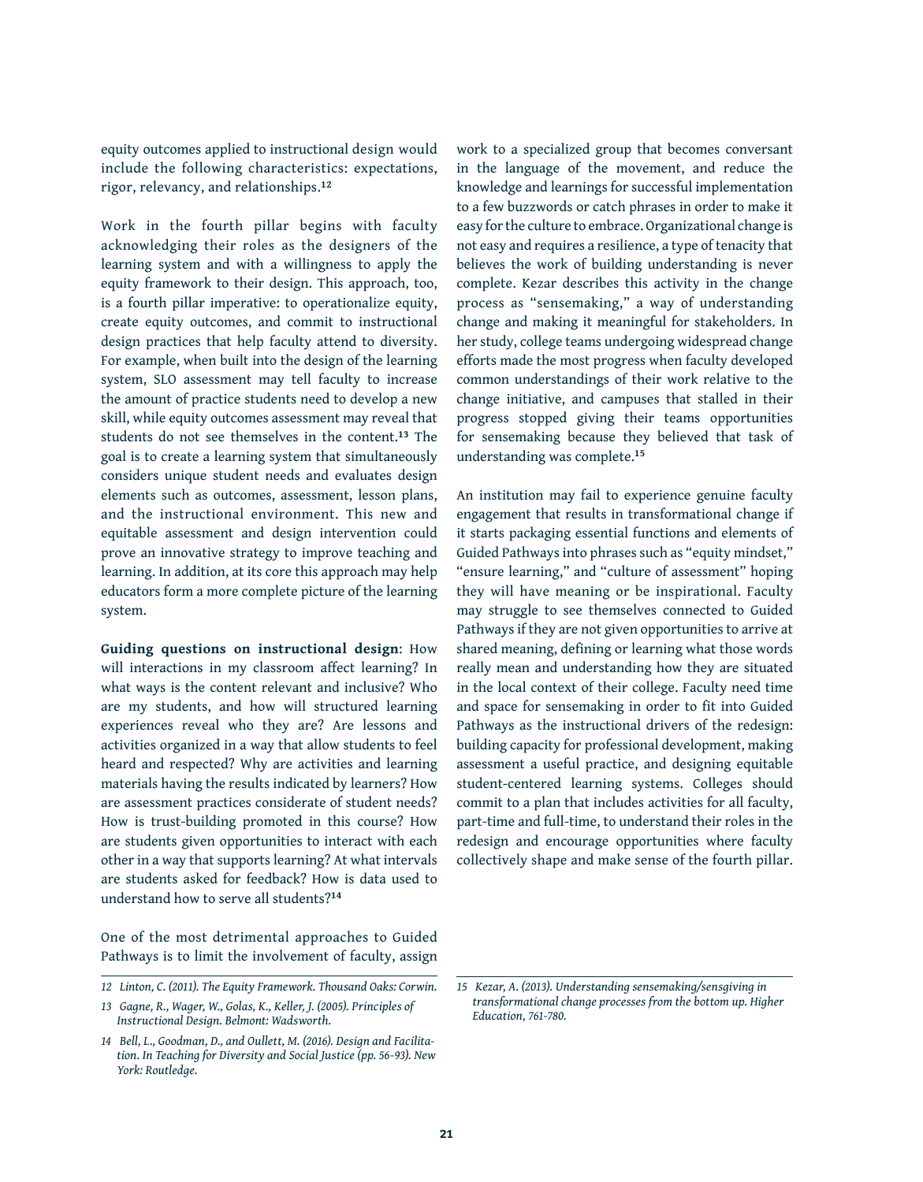equity outcomes applied to instructional design would include the following characteristics: expectations, rigor, relevancy, and relationships.**<sup>12</sup>**

Work in the fourth pillar begins with faculty acknowledging their roles as the designers of the learning system and with a willingness to apply the equity framework to their design. This approach, too, is a fourth pillar imperative: to operationalize equity, create equity outcomes, and commit to instructional design practices that help faculty attend to diversity. For example, when built into the design of the learning system, SLO assessment may tell faculty to increase the amount of practice students need to develop a new skill, while equity outcomes assessment may reveal that students do not see themselves in the content.**13** The goal is to create a learning system that simultaneously considers unique student needs and evaluates design elements such as outcomes, assessment, lesson plans, and the instructional environment. This new and equitable assessment and design intervention could prove an innovative strategy to improve teaching and learning. In addition, at its core this approach may help educators form a more complete picture of the learning system.

**Guiding questions on instructional design**: How will interactions in my classroom affect learning? In what ways is the content relevant and inclusive? Who are my students, and how will structured learning experiences reveal who they are? Are lessons and activities organized in a way that allow students to feel heard and respected? Why are activities and learning materials having the results indicated by learners? How are assessment practices considerate of student needs? How is trust-building promoted in this course? How are students given opportunities to interact with each other in a way that supports learning? At what intervals are students asked for feedback? How is data used to understand how to serve all students?**<sup>14</sup>**

One of the most detrimental approaches to Guided Pathways is to limit the involvement of faculty, assign work to a specialized group that becomes conversant in the language of the movement, and reduce the knowledge and learnings for successful implementation to a few buzzwords or catch phrases in order to make it easy for the culture to embrace. Organizational change is not easy and requires a resilience, a type of tenacity that believes the work of building understanding is never complete. Kezar describes this activity in the change process as "sensemaking," a way of understanding change and making it meaningful for stakeholders. In her study, college teams undergoing widespread change efforts made the most progress when faculty developed common understandings of their work relative to the change initiative, and campuses that stalled in their progress stopped giving their teams opportunities for sensemaking because they believed that task of understanding was complete.**<sup>15</sup>**

An institution may fail to experience genuine faculty engagement that results in transformational change if it starts packaging essential functions and elements of Guided Pathways into phrases such as "equity mindset," "ensure learning," and "culture of assessment" hoping they will have meaning or be inspirational. Faculty may struggle to see themselves connected to Guided Pathways if they are not given opportunities to arrive at shared meaning, defining or learning what those words really mean and understanding how they are situated in the local context of their college. Faculty need time and space for sensemaking in order to fit into Guided Pathways as the instructional drivers of the redesign: building capacity for professional development, making assessment a useful practice, and designing equitable student-centered learning systems. Colleges should commit to a plan that includes activities for all faculty, part-time and full-time, to understand their roles in the redesign and encourage opportunities where faculty collectively shape and make sense of the fourth pillar.

*<sup>12</sup> Linton, C. (2011). The Equity Framework. Thousand Oaks: Corwin.*

*<sup>13</sup> Gagne, R., Wager, W., Golas, K., Keller, J. (2005). Principles of Instructional Design. Belmont: Wadsworth.*

*<sup>14</sup> Bell, L., Goodman, D., and Oullett, M. (2016). Design and Facilitation. In Teaching for Diversity and Social Justice (pp. 56-93). New York: Routledge.*

*<sup>15</sup> Kezar, A. (2013). Understanding sensemaking/sensgiving in transformational change processes from the bottom up. Higher Education, 761-780.*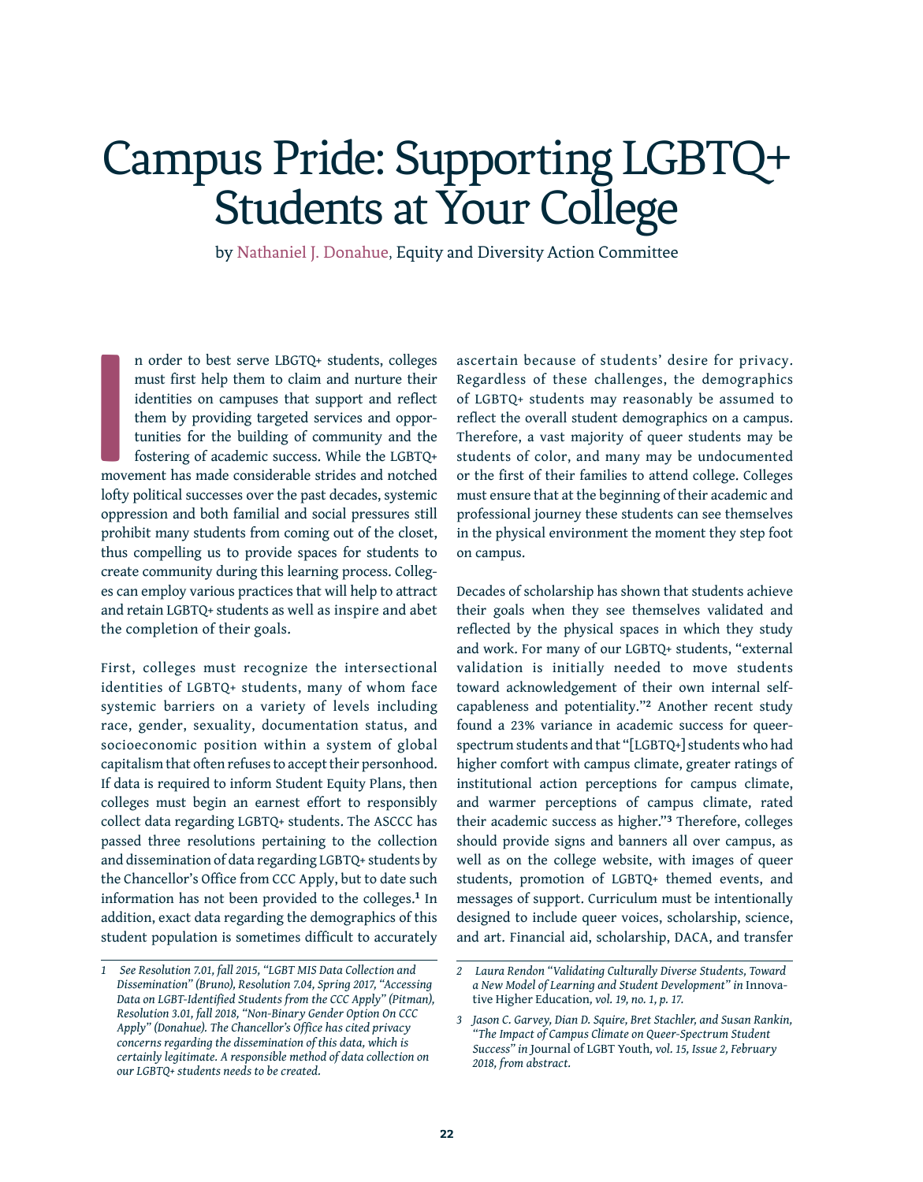# Campus Pride: Supporting LGBTQ+ Students at Your College

by Nathaniel J. Donahue, Equity and Diversity Action Committee

**I** n order to best serve LBGTQ+ students, colleges must first help them to claim and nurture their identities on campuses that support and reflect them by providing targeted services and opportunities for the building of community and the fostering of academic success. While the LGBTQ+ movement has made considerable strides and notched lofty political successes over the past decades, systemic oppression and both familial and social pressures still prohibit many students from coming out of the closet, thus compelling us to provide spaces for students to create community during this learning process. Colleges can employ various practices that will help to attract and retain LGBTQ+ students as well as inspire and abet the completion of their goals.

First, colleges must recognize the intersectional identities of LGBTQ+ students, many of whom face systemic barriers on a variety of levels including race, gender, sexuality, documentation status, and socioeconomic position within a system of global capitalism that often refuses to accept their personhood. If data is required to inform Student Equity Plans, then colleges must begin an earnest effort to responsibly collect data regarding LGBTQ+ students. The ASCCC has passed three resolutions pertaining to the collection and dissemination of data regarding LGBTQ+ students by the Chancellor's Office from CCC Apply, but to date such information has not been provided to the colleges.**1** In addition, exact data regarding the demographics of this student population is sometimes difficult to accurately ascertain because of students' desire for privacy. Regardless of these challenges, the demographics of LGBTQ+ students may reasonably be assumed to reflect the overall student demographics on a campus. Therefore, a vast majority of queer students may be students of color, and many may be undocumented or the first of their families to attend college. Colleges must ensure that at the beginning of their academic and professional journey these students can see themselves in the physical environment the moment they step foot on campus.

Decades of scholarship has shown that students achieve their goals when they see themselves validated and reflected by the physical spaces in which they study and work. For many of our LGBTQ+ students, "external validation is initially needed to move students toward acknowledgement of their own internal selfcapableness and potentiality."**2** Another recent study found a 23% variance in academic success for queerspectrum students and that "[LGBTQ+] students who had higher comfort with campus climate, greater ratings of institutional action perceptions for campus climate, and warmer perceptions of campus climate, rated their academic success as higher."**3** Therefore, colleges should provide signs and banners all over campus, as well as on the college website, with images of queer students, promotion of LGBTQ+ themed events, and messages of support. Curriculum must be intentionally designed to include queer voices, scholarship, science, and art. Financial aid, scholarship, DACA, and transfer

*<sup>1</sup> See Resolution 7.01, fall 2015, "LGBT MIS Data Collection and Dissemination" (Bruno), Resolution 7.04, Spring 2017, "Accessing Data on LGBT-Identified Students from the CCC Apply" (Pitman), Resolution 3.01, fall 2018, "Non-Binary Gender Option On CCC Apply" (Donahue). The Chancellor's Office has cited privacy concerns regarding the dissemination of this data, which is certainly legitimate. A responsible method of data collection on our LGBTQ+ students needs to be created.* 

*<sup>2</sup> Laura Rendon "Validating Culturally Diverse Students, Toward a New Model of Learning and Student Development" in* Innovative Higher Education*, vol. 19, no. 1, p. 17.*

*<sup>3</sup> Jason C. Garvey, Dian D. Squire, Bret Stachler, and Susan Rankin, "The Impact of Campus Climate on Queer-Spectrum Student Success" in* Journal of LGBT Youth*, vol. 15, Issue 2, February 2018, from abstract.*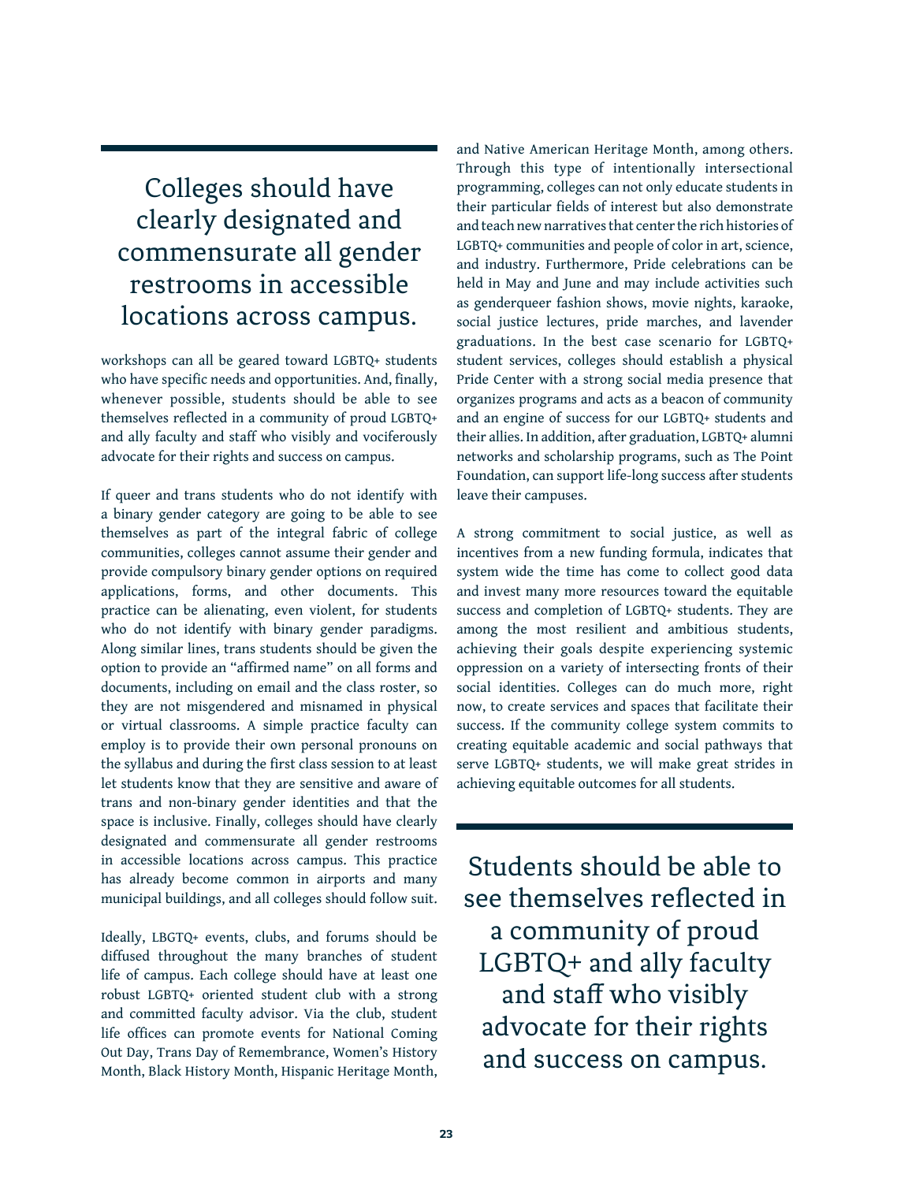### Colleges should have clearly designated and commensurate all gender restrooms in accessible locations across campus.

workshops can all be geared toward LGBTQ+ students who have specific needs and opportunities. And, finally, whenever possible, students should be able to see themselves reflected in a community of proud LGBTQ+ and ally faculty and staff who visibly and vociferously advocate for their rights and success on campus.

If queer and trans students who do not identify with a binary gender category are going to be able to see themselves as part of the integral fabric of college communities, colleges cannot assume their gender and provide compulsory binary gender options on required applications, forms, and other documents. This practice can be alienating, even violent, for students who do not identify with binary gender paradigms. Along similar lines, trans students should be given the option to provide an "affirmed name" on all forms and documents, including on email and the class roster, so they are not misgendered and misnamed in physical or virtual classrooms. A simple practice faculty can employ is to provide their own personal pronouns on the syllabus and during the first class session to at least let students know that they are sensitive and aware of trans and non-binary gender identities and that the space is inclusive. Finally, colleges should have clearly designated and commensurate all gender restrooms in accessible locations across campus. This practice has already become common in airports and many municipal buildings, and all colleges should follow suit.

Ideally, LBGTQ+ events, clubs, and forums should be diffused throughout the many branches of student life of campus. Each college should have at least one robust LGBTQ+ oriented student club with a strong and committed faculty advisor. Via the club, student life offices can promote events for National Coming Out Day, Trans Day of Remembrance, Women's History Month, Black History Month, Hispanic Heritage Month, and Native American Heritage Month, among others. Through this type of intentionally intersectional programming, colleges can not only educate students in their particular fields of interest but also demonstrate and teach new narratives that center the rich histories of LGBTQ+ communities and people of color in art, science, and industry. Furthermore, Pride celebrations can be held in May and June and may include activities such as genderqueer fashion shows, movie nights, karaoke, social justice lectures, pride marches, and lavender graduations. In the best case scenario for LGBTQ+ student services, colleges should establish a physical Pride Center with a strong social media presence that organizes programs and acts as a beacon of community and an engine of success for our LGBTQ+ students and their allies. In addition, after graduation, LGBTQ+ alumni networks and scholarship programs, such as The Point Foundation, can support life-long success after students leave their campuses.

A strong commitment to social justice, as well as incentives from a new funding formula, indicates that system wide the time has come to collect good data and invest many more resources toward the equitable success and completion of LGBTQ+ students. They are among the most resilient and ambitious students, achieving their goals despite experiencing systemic oppression on a variety of intersecting fronts of their social identities. Colleges can do much more, right now, to create services and spaces that facilitate their success. If the community college system commits to creating equitable academic and social pathways that serve LGBTQ+ students, we will make great strides in achieving equitable outcomes for all students.

Students should be able to see themselves reflected in a community of proud LGBTQ+ and ally faculty and staff who visibly advocate for their rights and success on campus.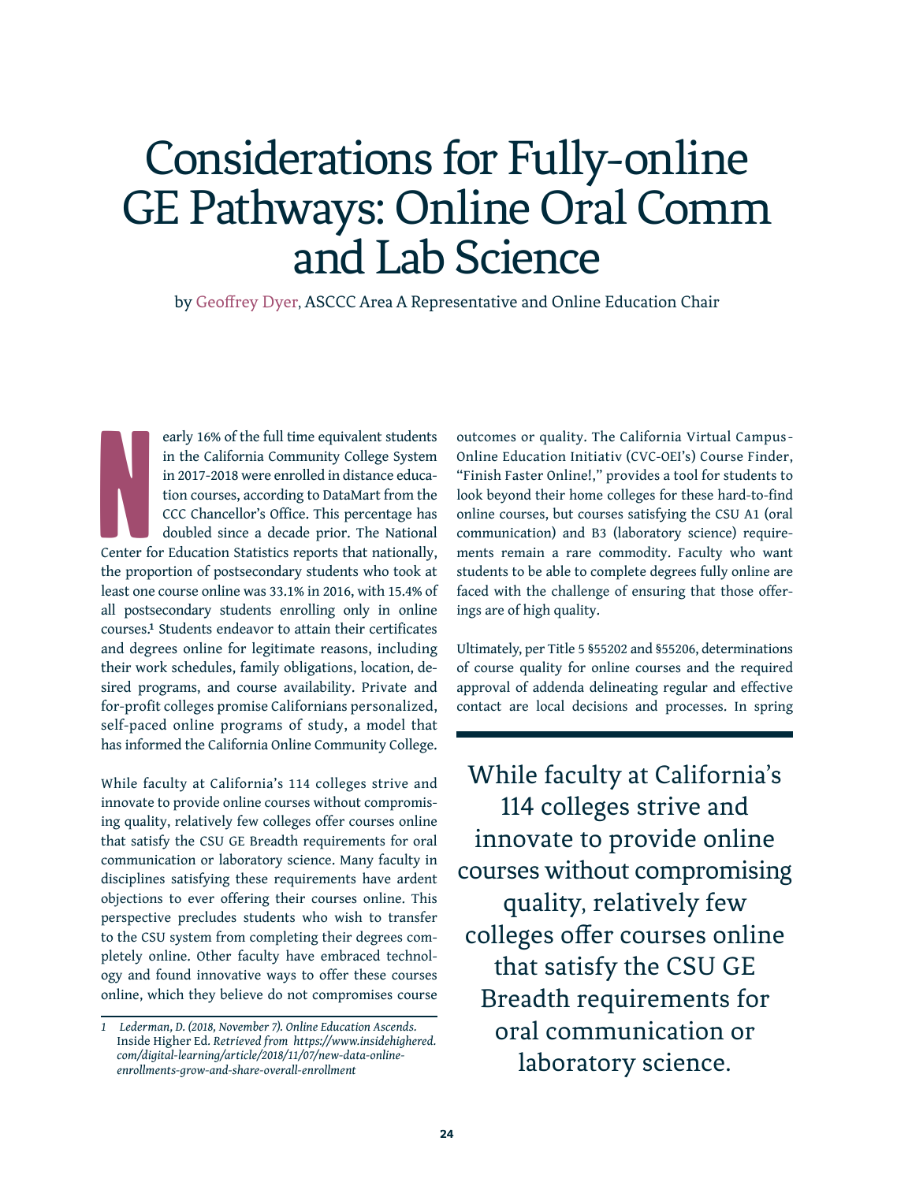## Considerations for Fully-online GE Pathways: Online Oral Comm and Lab Science

by Geoffrey Dyer, ASCCC Area A Representative and Online Education Chair

Note: Content of early 16% of the full time equivalent students in the California Community College System in 2017-2018 were enrolled in distance education courses, according to DataMart from the CCC Chancellor's Office. This percentage has doubled since a decade prior. The National Center for Education Statistics reports that nationally, the proportion of postsecondary students who took at least one course online was 33.1% in 2016, with 15.4% of all postsecondary students enrolling only in online courses.**<sup>1</sup>** Students endeavor to attain their certificates and degrees online for legitimate reasons, including their work schedules, family obligations, location, desired programs, and course availability. Private and for-profit colleges promise Californians personalized, self-paced online programs of study, a model that has informed the California Online Community College.

While faculty at California's 114 colleges strive and innovate to provide online courses without compromising quality, relatively few colleges offer courses online that satisfy the CSU GE Breadth requirements for oral communication or laboratory science. Many faculty in disciplines satisfying these requirements have ardent objections to ever offering their courses online. This perspective precludes students who wish to transfer to the CSU system from completing their degrees completely online. Other faculty have embraced technology and found innovative ways to offer these courses online, which they believe do not compromises course outcomes or quality. The California Virtual Campus-Online Education Initiativ (CVC-OEI's) Course Finder, "Finish Faster Online!," provides a tool for students to look beyond their home colleges for these hard-to-find online courses, but courses satisfying the CSU A1 (oral communication) and B3 (laboratory science) requirements remain a rare commodity. Faculty who want students to be able to complete degrees fully online are faced with the challenge of ensuring that those offerings are of high quality.

Ultimately, per Title 5 §55202 and §55206, determinations of course quality for online courses and the required approval of addenda delineating regular and effective contact are local decisions and processes. In spring

While faculty at California's 114 colleges strive and innovate to provide online courses without compromising quality, relatively few colleges offer courses online that satisfy the CSU GE Breadth requirements for oral communication or laboratory science.

*<sup>1</sup> Lederman, D. (2018, November 7). Online Education Ascends.*  Inside Higher Ed*. Retrieved from https://www.insidehighered. com/digital-learning/article/2018/11/07/new-data-onlineenrollments-grow-and-share-overall-enrollment*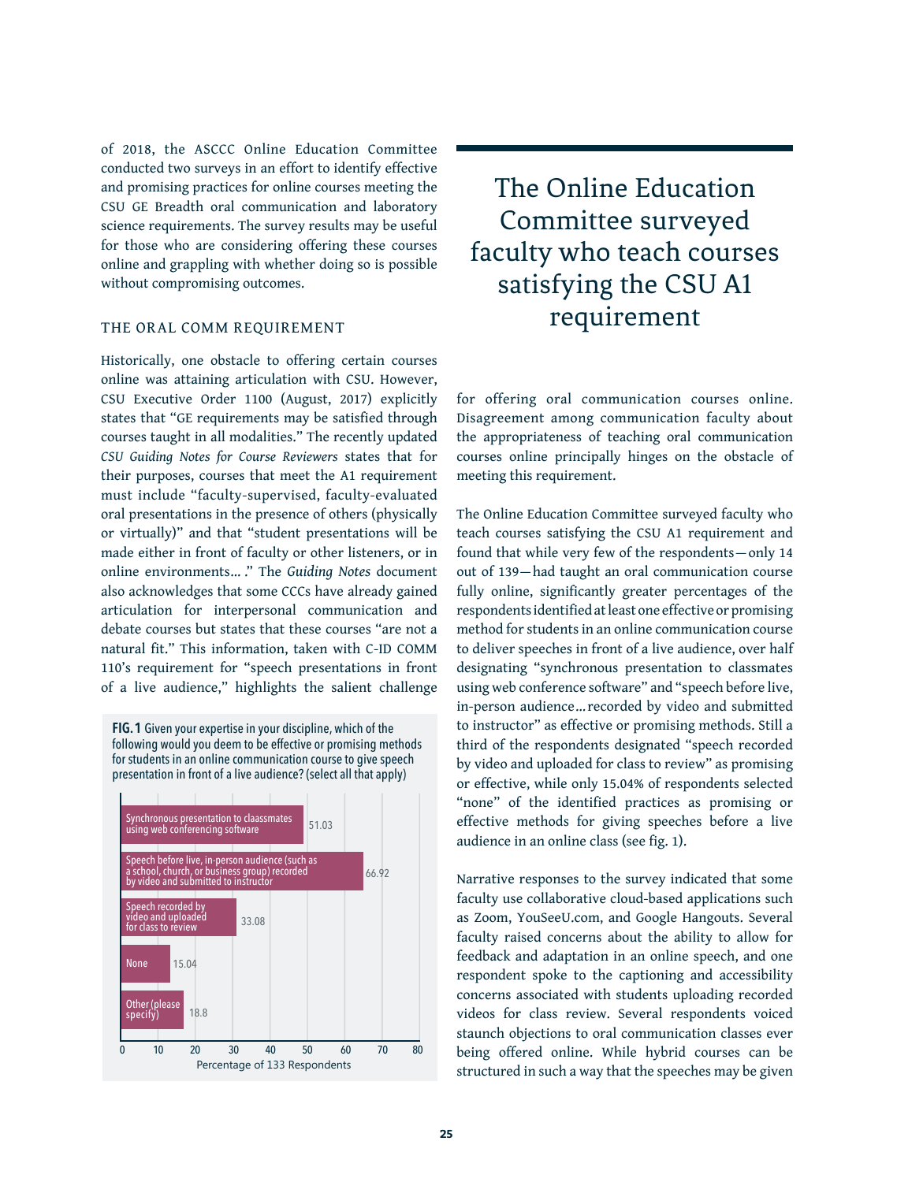of 2018, the ASCCC Online Education Committee conducted two surveys in an effort to identify effective and promising practices for online courses meeting the CSU GE Breadth oral communication and laboratory science requirements. The survey results may be useful for those who are considering offering these courses online and grappling with whether doing so is possible without compromising outcomes.

### THE ORAL COMM REQUIREMENT

Historically, one obstacle to offering certain courses online was attaining articulation with CSU. However, CSU Executive Order 1100 (August, 2017) explicitly states that "GE requirements may be satisfied through courses taught in all modalities." The recently updated *CSU Guiding Notes for Course Reviewers* states that for their purposes, courses that meet the A1 requirement must include "faculty-supervised, faculty-evaluated oral presentations in the presence of others (physically or virtually)" and that "student presentations will be made either in front of faculty or other listeners, or in online environments… ." The *Guiding Notes* document also acknowledges that some CCCs have already gained articulation for interpersonal communication and debate courses but states that these courses "are not a natural fit." This information, taken with C-ID COMM 110's requirement for "speech presentations in front of a live audience," highlights the salient challenge

**FIG. 1** Given your expertise in your discipline, which of the following would you deem to be effective or promising methods for students in an online communication course to give speech presentation in front of a live audience? (select all that apply)



The Online Education Committee surveyed faculty who teach courses satisfying the CSU A1 requirement

for offering oral communication courses online. Disagreement among communication faculty about the appropriateness of teaching oral communication courses online principally hinges on the obstacle of meeting this requirement.

The Online Education Committee surveyed faculty who teach courses satisfying the CSU A1 requirement and found that while very few of the respondents— only 14 out of 139—had taught an oral communication course fully online, significantly greater percentages of the respondents identified at least one effective or promising method for students in an online communication course to deliver speeches in front of a live audience, over half designating "synchronous presentation to classmates using web conference software" and "speech before live, in-person audience… recorded by video and submitted to instructor" as effective or promising methods. Still a third of the respondents designated "speech recorded by video and uploaded for class to review" as promising or effective, while only 15.04% of respondents selected "none" of the identified practices as promising or effective methods for giving speeches before a live audience in an online class (see fig. 1).

Narrative responses to the survey indicated that some faculty use collaborative cloud-based applications such as Zoom, YouSeeU.com, and Google Hangouts. Several faculty raised concerns about the ability to allow for feedback and adaptation in an online speech, and one respondent spoke to the captioning and accessibility concerns associated with students uploading recorded videos for class review. Several respondents voiced staunch objections to oral communication classes ever being offered online. While hybrid courses can be structured in such a way that the speeches may be given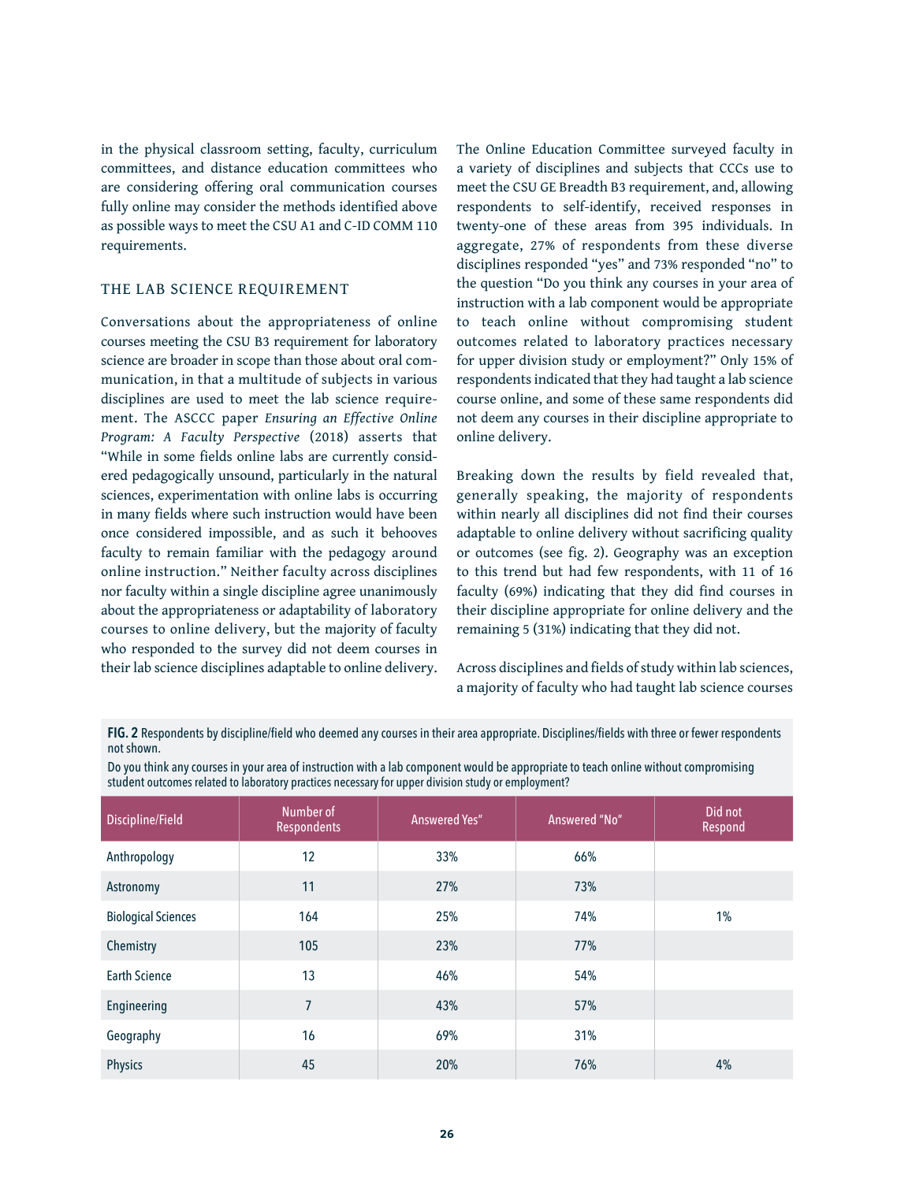in the physical classroom setting, faculty, curriculum committees, and distance education committees who are considering offering oral communication courses fully online may consider the methods identified above as possible ways to meet the CSU A1 and C-ID COMM 110 requirements.

#### THE LAB SCIENCE REQUIREMENT

Conversations about the appropriateness of online courses meeting the CSU B3 requirement for laboratory science are broader in scope than those about oral communication, in that a multitude of subjects in various disciplines are used to meet the lab science requirement. The ASCCC paper *Ensuring an Effective Online Program: A Faculty Perspective* (2018) asserts that "While in some fields online labs are currently considered pedagogically unsound, particularly in the natural sciences, experimentation with online labs is occurring in many fields where such instruction would have been once considered impossible, and as such it behooves faculty to remain familiar with the pedagogy around online instruction." Neither faculty across disciplines nor faculty within a single discipline agree unanimously about the appropriateness or adaptability of laboratory courses to online delivery, but the majority of faculty who responded to the survey did not deem courses in their lab science disciplines adaptable to online delivery. The Online Education Committee surveyed faculty in a variety of disciplines and subjects that CCCs use to meet the CSU GE Breadth B3 requirement, and, allowing respondents to self-identify, received responses in twenty-one of these areas from 395 individuals. In aggregate, 27% of respondents from these diverse disciplines responded "yes" and 73% responded "no" to the question "Do you think any courses in your area of instruction with a lab component would be appropriate to teach online without compromising student outcomes related to laboratory practices necessary for upper division study or employment?" Only 15% of respondents indicated that they had taught a lab science course online, and some of these same respondents did not deem any courses in their discipline appropriate to online delivery.

Breaking down the results by field revealed that, generally speaking, the majority of respondents within nearly all disciplines did not find their courses adaptable to online delivery without sacrificing quality or outcomes (see fig. 2). Geography was an exception to this trend but had few respondents, with 11 of 16 faculty (69%) indicating that they did find courses in their discipline appropriate for online delivery and the remaining 5 (31%) indicating that they did not.

Across disciplines and fields of study within lab sciences, a majority of faculty who had taught lab science courses

**FIG. 2** Respondents by discipline/field who deemed any courses in their area appropriate. Disciplines/fields with three or fewer respondents not shown.

Do you think any courses in your area of instruction with a lab component would be appropriate to teach online without compromising student outcomes related to laboratory practices necessary for upper division study or employment?

| Discipline/Field           | Number of<br>Respondents | <b>Answered Yes"</b> | Answered "No" | Did not<br>Respond |
|----------------------------|--------------------------|----------------------|---------------|--------------------|
| Anthropology               | 12                       | 33%                  | 66%           |                    |
| Astronomy                  | 11                       | 27%                  | 73%           |                    |
| <b>Biological Sciences</b> | 164                      | 25%                  | 74%           | 1%                 |
| Chemistry                  | 105                      | 23%                  | 77%           |                    |
| <b>Earth Science</b>       | 13                       | 46%                  | 54%           |                    |
| Engineering                | $\overline{7}$           | 43%                  | 57%           |                    |
| Geography                  | 16                       | 69%                  | 31%           |                    |
| Physics                    | 45                       | 20%                  | 76%           | 4%                 |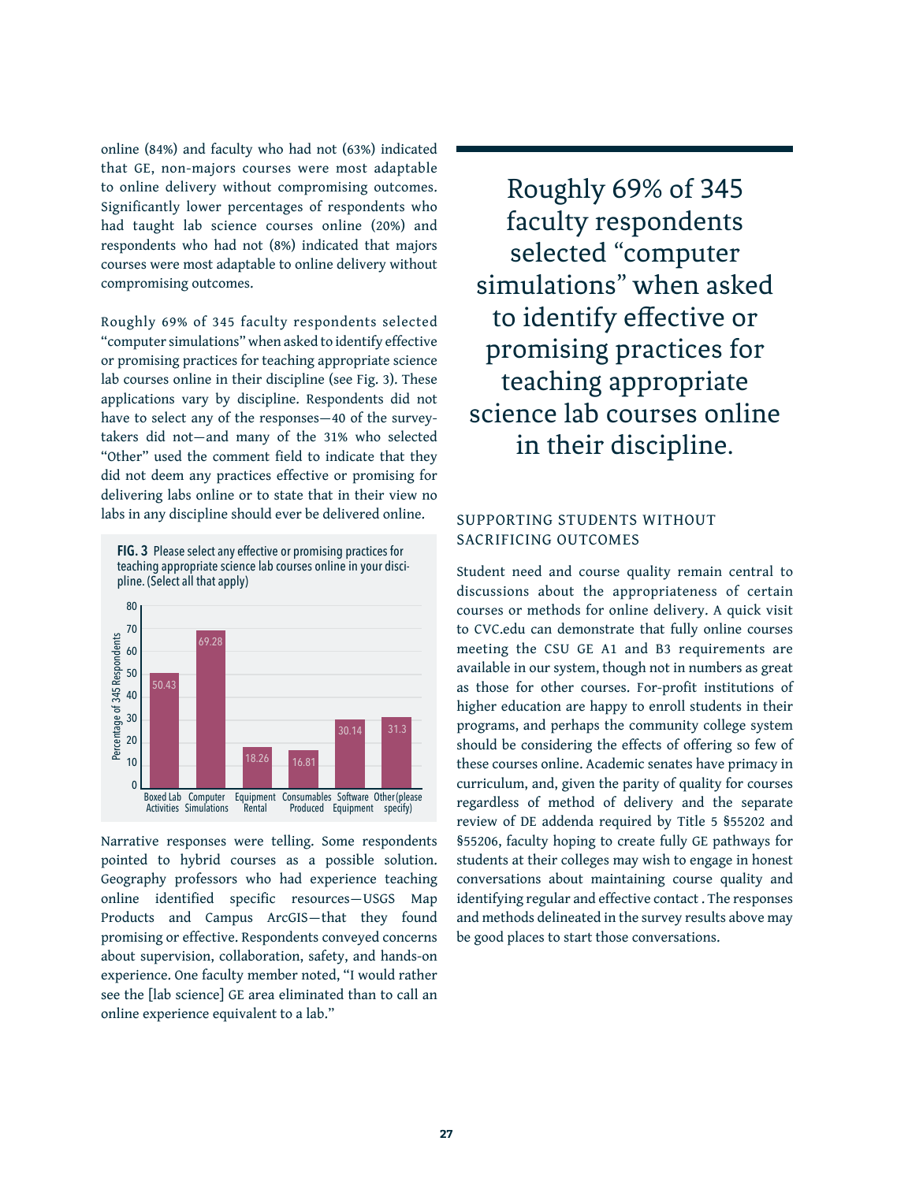online (84%) and faculty who had not (63%) indicated that GE, non-majors courses were most adaptable to online delivery without compromising outcomes. Significantly lower percentages of respondents who had taught lab science courses online (20%) and respondents who had not (8%) indicated that majors courses were most adaptable to online delivery without compromising outcomes.

Roughly 69% of 345 faculty respondents selected "computer simulations" when asked to identify effective or promising practices for teaching appropriate science lab courses online in their discipline (see Fig. 3). These applications vary by discipline. Respondents did not have to select any of the responses—40 of the surveytakers did not—and many of the 31% who selected "Other" used the comment field to indicate that they did not deem any practices effective or promising for delivering labs online or to state that in their view no labs in any discipline should ever be delivered online.





Narrative responses were telling. Some respondents pointed to hybrid courses as a possible solution. Geography professors who had experience teaching online identified specific resources—USGS Map Products and Campus ArcGIS—that they found promising or effective. Respondents conveyed concerns about supervision, collaboration, safety, and hands-on experience. One faculty member noted, "I would rather see the [lab science] GE area eliminated than to call an online experience equivalent to a lab."

Roughly 69% of 345 faculty respondents selected "computer simulations" when asked to identify effective or promising practices for teaching appropriate science lab courses online in their discipline.

### SUPPORTING STUDENTS WITHOUT SACRIFICING OUTCOMES

Student need and course quality remain central to discussions about the appropriateness of certain courses or methods for online delivery. A quick visit to CVC.edu can demonstrate that fully online courses meeting the CSU GE A1 and B3 requirements are available in our system, though not in numbers as great as those for other courses. For-profit institutions of higher education are happy to enroll students in their programs, and perhaps the community college system should be considering the effects of offering so few of these courses online. Academic senates have primacy in curriculum, and, given the parity of quality for courses regardless of method of delivery and the separate review of DE addenda required by Title 5 §55202 and §55206, faculty hoping to create fully GE pathways for students at their colleges may wish to engage in honest conversations about maintaining course quality and identifying regular and effective contact . The responses and methods delineated in the survey results above may be good places to start those conversations.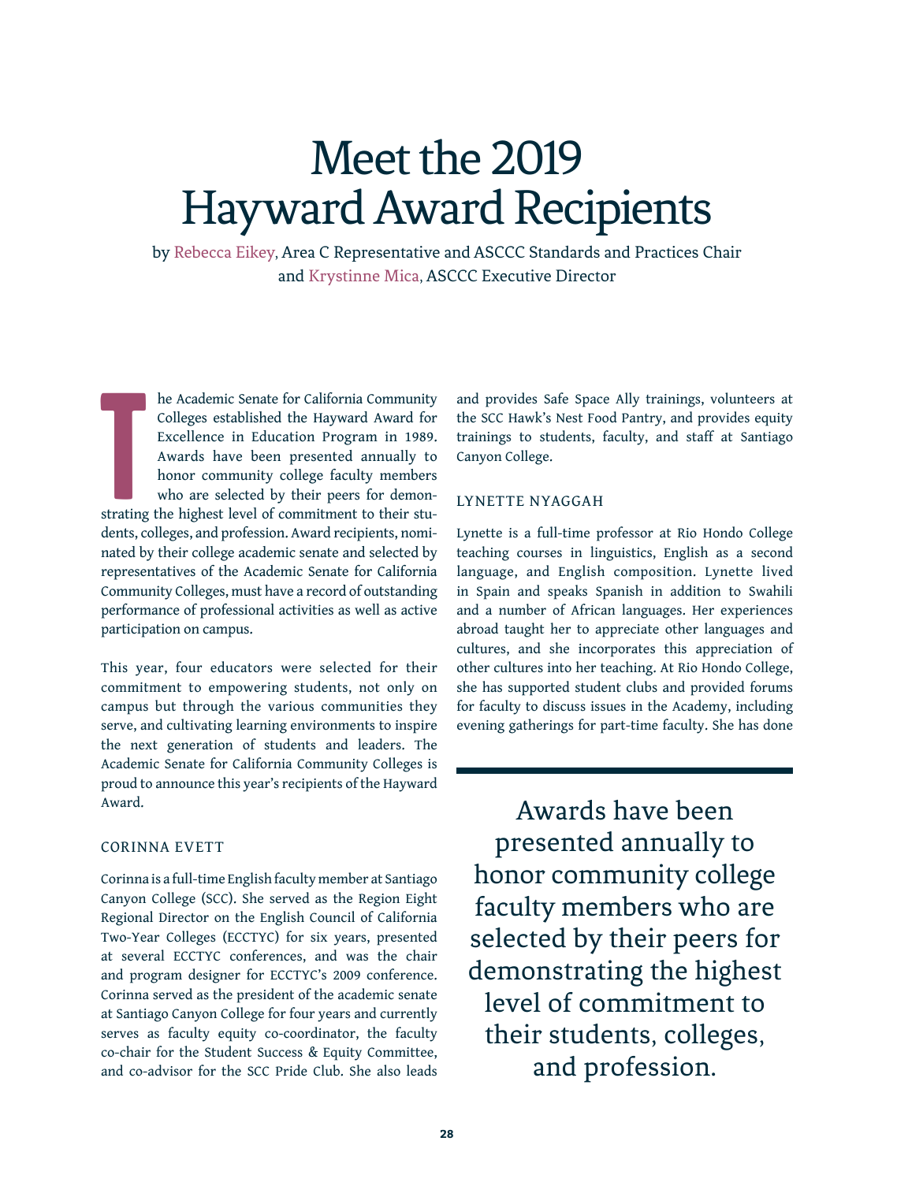# Meet the 2019 Hayward Award Recipients

by Rebecca Eikey, Area C Representative and ASCCC Standards and Practices Chair and Krystinne Mica, ASCCC Executive Director

**T** he Academic Senate for California Community Colleges established the Hayward Award for Excellence in Education Program in 1989. Awards have been presented annually to honor community college faculty members who are selected by their peers for demonstrating the highest level of commitment to their students, colleges, and profession. Award recipients, nominated by their college academic senate and selected by representatives of the Academic Senate for California Community Colleges, must have a record of outstanding performance of professional activities as well as active participation on campus.

This year, four educators were selected for their commitment to empowering students, not only on campus but through the various communities they serve, and cultivating learning environments to inspire the next generation of students and leaders. The Academic Senate for California Community Colleges is proud to announce this year's recipients of the Hayward Award.

#### CORINNA EVETT

Corinna is a full-time English faculty member at Santiago Canyon College (SCC). She served as the Region Eight Regional Director on the English Council of California Two-Year Colleges (ECCTYC) for six years, presented at several ECCTYC conferences, and was the chair and program designer for ECCTYC's 2009 conference. Corinna served as the president of the academic senate at Santiago Canyon College for four years and currently serves as faculty equity co-coordinator, the faculty co-chair for the Student Success & Equity Committee, and co-advisor for the SCC Pride Club. She also leads

and provides Safe Space Ally trainings, volunteers at the SCC Hawk's Nest Food Pantry, and provides equity trainings to students, faculty, and staff at Santiago Canyon College.

#### LYNETTE NYAGGAH

Lynette is a full-time professor at Rio Hondo College teaching courses in linguistics, English as a second language, and English composition. Lynette lived in Spain and speaks Spanish in addition to Swahili and a number of African languages. Her experiences abroad taught her to appreciate other languages and cultures, and she incorporates this appreciation of other cultures into her teaching. At Rio Hondo College, she has supported student clubs and provided forums for faculty to discuss issues in the Academy, including evening gatherings for part-time faculty. She has done

Awards have been presented annually to honor community college faculty members who are selected by their peers for demonstrating the highest level of commitment to their students, colleges, and profession.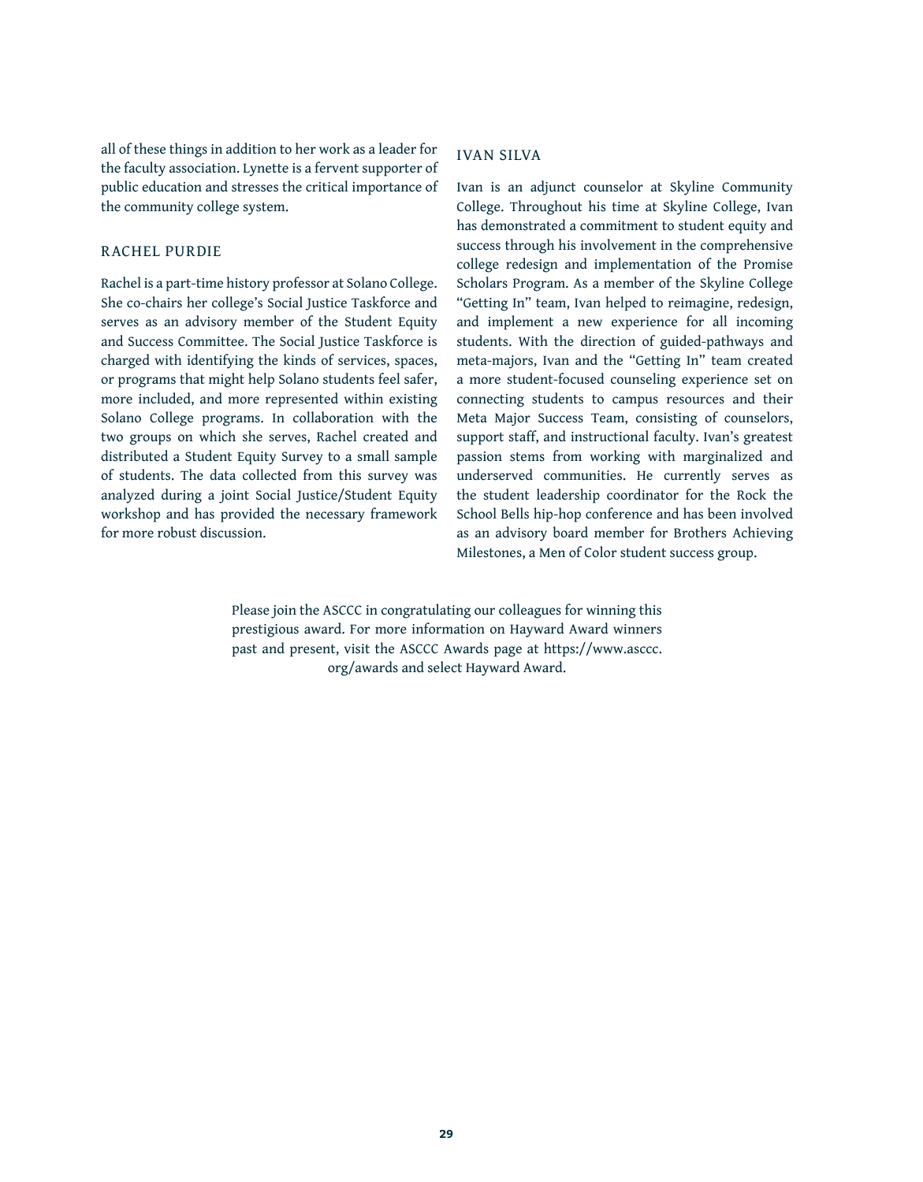all of these things in addition to her work as a leader for the faculty association. Lynette is a fervent supporter of public education and stresses the critical importance of the community college system.

#### RACHEL PURDIE

Rachel is a part-time history professor at Solano College. She co-chairs her college's Social Justice Taskforce and serves as an advisory member of the Student Equity and Success Committee. The Social Justice Taskforce is charged with identifying the kinds of services, spaces, or programs that might help Solano students feel safer, more included, and more represented within existing Solano College programs. In collaboration with the two groups on which she serves, Rachel created and distributed a Student Equity Survey to a small sample of students. The data collected from this survey was analyzed during a joint Social Justice/Student Equity workshop and has provided the necessary framework for more robust discussion.

### IVAN SILVA

Ivan is an adjunct counselor at Skyline Community College. Throughout his time at Skyline College, Ivan has demonstrated a commitment to student equity and success through his involvement in the comprehensive college redesign and implementation of the Promise Scholars Program. As a member of the Skyline College "Getting In" team, Ivan helped to reimagine, redesign, and implement a new experience for all incoming students. With the direction of guided-pathways and meta-majors, Ivan and the "Getting In" team created a more student-focused counseling experience set on connecting students to campus resources and their Meta Major Success Team, consisting of counselors, support staff, and instructional faculty. Ivan's greatest passion stems from working with marginalized and underserved communities. He currently serves as the student leadership coordinator for the Rock the School Bells hip-hop conference and has been involved as an advisory board member for Brothers Achieving Milestones, a Men of Color student success group.

Please join the ASCCC in congratulating our colleagues for winning this prestigious award. For more information on Hayward Award winners past and present, visit the ASCCC Awards page at https://www.asccc. org/awards and select Hayward Award.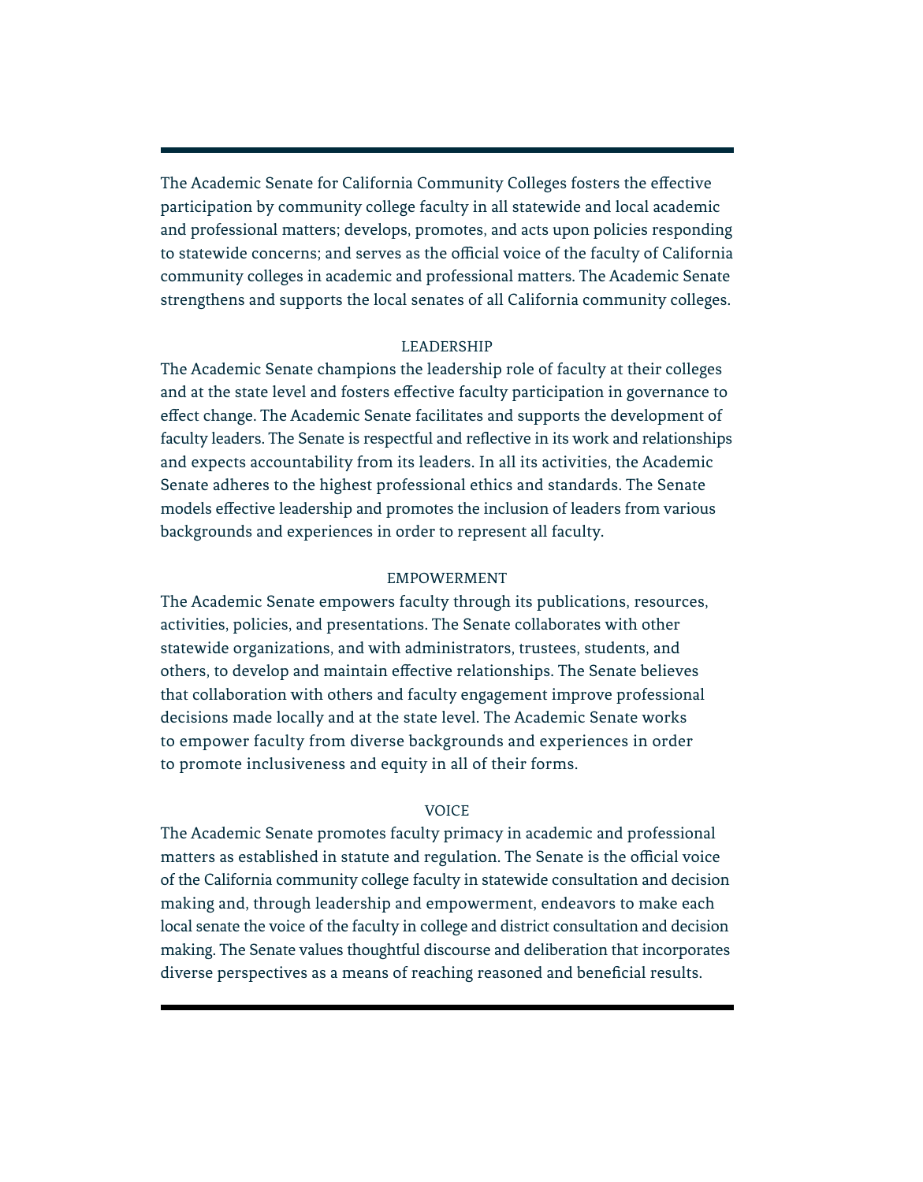The Academic Senate for California Community Colleges fosters the effective participation by community college faculty in all statewide and local academic and professional matters; develops, promotes, and acts upon policies responding to statewide concerns; and serves as the official voice of the faculty of California community colleges in academic and professional matters. The Academic Senate strengthens and supports the local senates of all California community colleges.

### LEADERSHIP

The Academic Senate champions the leadership role of faculty at their colleges and at the state level and fosters effective faculty participation in governance to effect change. The Academic Senate facilitates and supports the development of faculty leaders. The Senate is respectful and reflective in its work and relationships and expects accountability from its leaders. In all its activities, the Academic Senate adheres to the highest professional ethics and standards. The Senate models effective leadership and promotes the inclusion of leaders from various backgrounds and experiences in order to represent all faculty.

### EMPOWERMENT

The Academic Senate empowers faculty through its publications, resources, activities, policies, and presentations. The Senate collaborates with other statewide organizations, and with administrators, trustees, students, and others, to develop and maintain effective relationships. The Senate believes that collaboration with others and faculty engagement improve professional decisions made locally and at the state level. The Academic Senate works to empower faculty from diverse backgrounds and experiences in order to promote inclusiveness and equity in all of their forms.

#### **VOICE**

The Academic Senate promotes faculty primacy in academic and professional matters as established in statute and regulation. The Senate is the official voice of the California community college faculty in statewide consultation and decision making and, through leadership and empowerment, endeavors to make each local senate the voice of the faculty in college and district consultation and decision making. The Senate values thoughtful discourse and deliberation that incorporates diverse perspectives as a means of reaching reasoned and beneficial results.